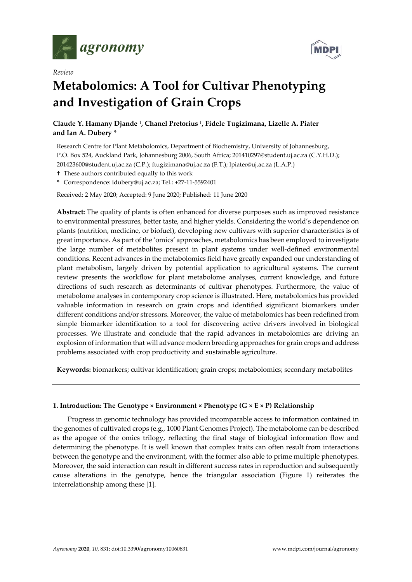





# **Metabolomics: A Tool for Cultivar Phenotyping and Investigation of Grain Crops**

# **Claude Y. Hamany Djande †, Chanel Pretorius †, Fidele Tugizimana, Lizelle A. Piater and Ian A. Dubery \***

Research Centre for Plant Metabolomics, Department of Biochemistry, University of Johannesburg, P.O. Box 524, Auckland Park, Johannesburg 2006, South Africa; 201410297@student.uj.ac.za (C.Y.H.D.); 201423600@student.uj.ac.za (C.P.); ftugizimana@uj.ac.za (F.T.); lpiater@uj.ac.za (L.A.P.)

**†** These authors contributed equally to this work

**\*** Correspondence: idubery@uj.ac.za; Tel.: +27‐11‐5592401

Received: 2 May 2020; Accepted: 9 June 2020; Published: 11 June 2020

**Abstract:** The quality of plants is often enhanced for diverse purposes such as improved resistance to environmental pressures, better taste, and higher yields. Considering the world's dependence on plants (nutrition, medicine, or biofuel), developing new cultivars with superior characteristics is of great importance. As part of the 'omics' approaches, metabolomics has been employed to investigate the large number of metabolites present in plant systems under well‐defined environmental conditions. Recent advances in the metabolomics field have greatly expanded our understanding of plant metabolism, largely driven by potential application to agricultural systems. The current review presents the workflow for plant metabolome analyses, current knowledge, and future directions of such research as determinants of cultivar phenotypes. Furthermore, the value of metabolome analyses in contemporary crop science is illustrated. Here, metabolomics has provided valuable information in research on grain crops and identified significant biomarkers under different conditions and/or stressors. Moreover, the value of metabolomics has been redefined from simple biomarker identification to a tool for discovering active drivers involved in biological processes. We illustrate and conclude that the rapid advances in metabolomics are driving an explosion of information that will advance modern breeding approaches for grain crops and address problems associated with crop productivity and sustainable agriculture.

**Keywords:** biomarkers; cultivar identification; grain crops; metabolomics; secondary metabolites

# **1. Introduction: The Genotype × Environment × Phenotype (G × E × P) Relationship**

Progress in genomic technology has provided incomparable access to information contained in the genomes of cultivated crops (e.g., 1000 Plant Genomes Project). The metabolome can be described as the apogee of the omics trilogy, reflecting the final stage of biological information flow and determining the phenotype. It is well known that complex traits can often result from interactions between the genotype and the environment, with the former also able to prime multiple phenotypes. Moreover, the said interaction can result in different success rates in reproduction and subsequently cause alterations in the genotype, hence the triangular association (Figure 1) reiterates the interrelationship among these [1].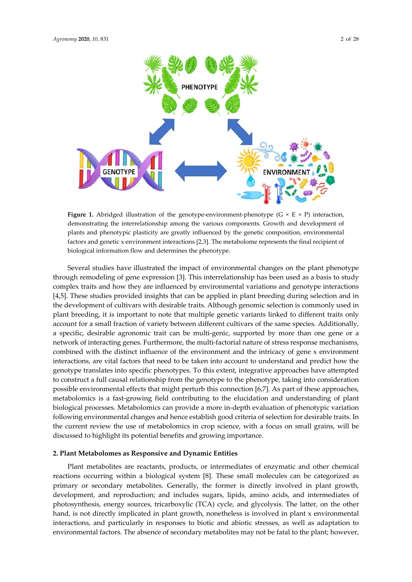

**Figure** 1. Abridged illustration of the genotype-environment-phenotype ( $G \times E \times P$ ) interaction, demonstrating the interrelationship among the various components. Growth and development of plants and phenotypic plasticity are greatly influenced by the genetic composition, environmental factors and genetic x environment interactions [2,3]. The metabolome represents the final recipient of biological information flow and determines the phenotype.

Several studies have illustrated the impact of environmental changes on the plant phenotype through remodeling of gene expression [3]. This interrelationship has been used as a basis to study complex traits and how they are influenced by environmental variations and genotype interactions [4,5]. These studies provided insights that can be applied in plant breeding during selection and in the development of cultivars with desirable traits. Although genomic selection is commonly used in plant breeding, it is important to note that multiple genetic variants linked to different traits only account for a small fraction of variety between different cultivars of the same species. Additionally, a specific, desirable agronomic trait can be multi-genic, supported by more than one gene or a network of interacting genes. Furthermore, the multi-factorial nature of stress response mechanisms, combined with the distinct influence of the environment and the intricacy of gene x environment interactions, are vital factors that need to be taken into account to understand and predict how the genotype translates into specific phenotypes. To this extent, integrative approaches have attempted to construct a full causal relationship from the genotype to the phenotype, taking into consideration possible environmental effects that might perturb this connection [6,7]. As part of these approaches, metabolomics is a fast-growing field contributing to the elucidation and understanding of plant biological processes. Metabolomics can provide a more in‐depth evaluation of phenotypic variation following environmental changes and hence establish good criteria of selection for desirable traits. In the current review the use of metabolomics in crop science, with a focus on small grains, will be discussed to highlight its potential benefits and growing importance.

#### **2. Plant Metabolomes as Responsive and Dynamic Entities**

Plant metabolites are reactants, products, or intermediates of enzymatic and other chemical reactions occurring within a biological system [8]. These small molecules can be categorized as primary or secondary metabolites. Generally, the former is directly involved in plant growth, development, and reproduction; and includes sugars, lipids, amino acids, and intermediates of photosynthesis, energy sources, tricarboxylic (TCA) cycle, and glycolysis. The latter, on the other hand, is not directly implicated in plant growth, nonetheless is involved in plant x environmental interactions, and particularly in responses to biotic and abiotic stresses, as well as adaptation to environmental factors. The absence of secondary metabolites may not be fatal to the plant; however,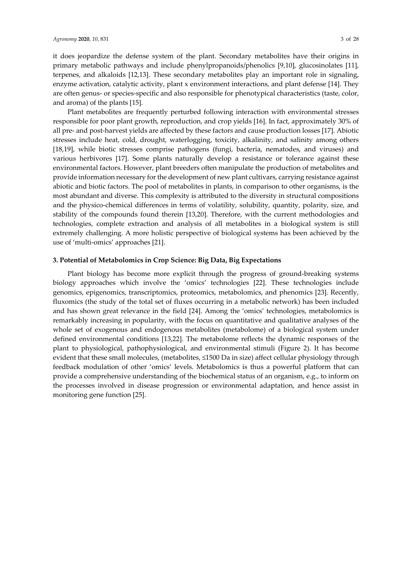it does jeopardize the defense system of the plant. Secondary metabolites have their origins in primary metabolic pathways and include phenylpropanoids/phenolics [9,10], glucosinolates [11], terpenes, and alkaloids [12,13]. These secondary metabolites play an important role in signaling, enzyme activation, catalytic activity, plant x environment interactions, and plant defense [14]. They are often genus‐ or species‐specific and also responsible for phenotypical characteristics (taste, color, and aroma) of the plants [15].

Plant metabolites are frequently perturbed following interaction with environmental stresses responsible for poor plant growth, reproduction, and crop yields [16]. In fact, approximately 30% of all pre‐ and post‐harvest yields are affected by these factors and cause production losses [17]. Abiotic stresses include heat, cold, drought, waterlogging, toxicity, alkalinity, and salinity among others [18,19], while biotic stresses comprise pathogens (fungi, bacteria, nematodes, and viruses) and various herbivores [17]. Some plants naturally develop a resistance or tolerance against these environmental factors. However, plant breeders often manipulate the production of metabolites and provide information necessary for the development of new plant cultivars, carrying resistance against abiotic and biotic factors. The pool of metabolites in plants, in comparison to other organisms, is the most abundant and diverse. This complexity is attributed to the diversity in structural compositions and the physico-chemical differences in terms of volatility, solubility, quantity, polarity, size, and stability of the compounds found therein [13,20]. Therefore, with the current methodologies and technologies, complete extraction and analysis of all metabolites in a biological system is still extremely challenging. A more holistic perspective of biological systems has been achieved by the use of 'multi‐omics' approaches [21].

# **3. Potential of Metabolomics in Crop Science: Big Data, Big Expectations**

Plant biology has become more explicit through the progress of ground‐breaking systems biology approaches which involve the 'omics' technologies [22]. These technologies include genomics, epigenomics, transcriptomics, proteomics, metabolomics, and phenomics [23]. Recently, fluxomics (the study of the total set of fluxes occurring in a metabolic network) has been included and has shown great relevance in the field [24]. Among the 'omics' technologies, metabolomics is remarkably increasing in popularity, with the focus on quantitative and qualitative analyses of the whole set of exogenous and endogenous metabolites (metabolome) of a biological system under defined environmental conditions [13,22]. The metabolome reflects the dynamic responses of the plant to physiological, pathophysiological, and environmental stimuli (Figure 2). It has become evident that these small molecules, (metabolites, ≤1500 Da in size) affect cellular physiology through feedback modulation of other 'omics' levels. Metabolomics is thus a powerful platform that can provide a comprehensive understanding of the biochemical status of an organism, e.g., to inform on the processes involved in disease progression or environmental adaptation, and hence assist in monitoring gene function [25].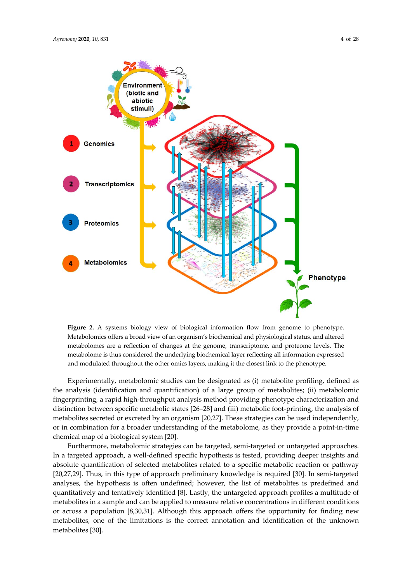

**Figure 2.** A systems biology view of biological information flow from genome to phenotype. Metabolomics offers a broad view of an organism's biochemical and physiological status, and altered metabolomes are a reflection of changes at the genome, transcriptome, and proteome levels. The metabolome is thus considered the underlying biochemical layer reflecting all information expressed and modulated throughout the other omics layers, making it the closest link to the phenotype.

Experimentally, metabolomic studies can be designated as (i) metabolite profiling, defined as the analysis (identification and quantification) of a large group of metabolites; (ii) metabolomic fingerprinting, a rapid high‐throughput analysis method providing phenotype characterization and distinction between specific metabolic states [26–28] and (iii) metabolic foot‐printing, the analysis of metabolites secreted or excreted by an organism [20,27]. These strategies can be used independently, or in combination for a broader understanding of the metabolome, as they provide a point‐in‐time chemical map of a biological system [20].

Furthermore, metabolomic strategies can be targeted, semi-targeted or untargeted approaches. In a targeted approach, a well-defined specific hypothesis is tested, providing deeper insights and absolute quantification of selected metabolites related to a specific metabolic reaction or pathway [20,27,29]. Thus, in this type of approach preliminary knowledge is required [30]. In semi-targeted analyses, the hypothesis is often undefined; however, the list of metabolites is predefined and quantitatively and tentatively identified [8]. Lastly, the untargeted approach profiles a multitude of metabolites in a sample and can be applied to measure relative concentrations in different conditions or across a population [8,30,31]. Although this approach offers the opportunity for finding new metabolites, one of the limitations is the correct annotation and identification of the unknown metabolites [30].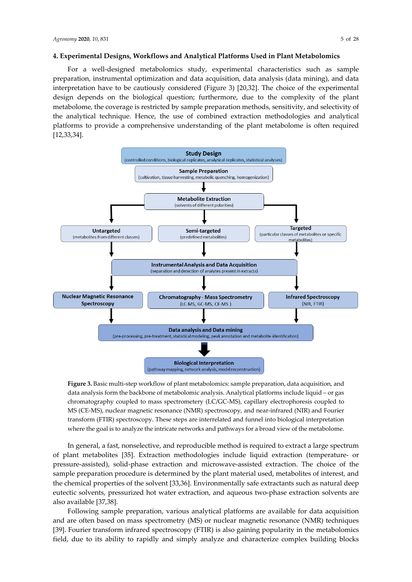#### **4. Experimental Designs, Workflows and Analytical Platforms Used in Plant Metabolomics**

For a well‐designed metabolomics study, experimental characteristics such as sample preparation, instrumental optimization and data acquisition, data analysis (data mining), and data interpretation have to be cautiously considered (Figure 3) [20,32]. The choice of the experimental design depends on the biological question; furthermore, due to the complexity of the plant metabolome, the coverage is restricted by sample preparation methods, sensitivity, and selectivity of the analytical technique. Hence, the use of combined extraction methodologies and analytical platforms to provide a comprehensive understanding of the plant metabolome is often required [12,33,34].



**Figure 3.** Basic multi‐step workflow of plant metabolomics: sample preparation, data acquisition, and data analysis form the backbone of metabolomic analysis. Analytical platforms include liquid – or gas chromatography coupled to mass spectrometery (LC/GC‐MS), capillary electrophoresis coupled to MS (CE‐MS), nuclear magnetic resonance (NMR) spectroscopy, and near‐infrared (NIR) and Fourier transform (FTIR) spectroscopy. These steps are interrelated and funnel into biological interpretation where the goal is to analyze the intricate networks and pathways for a broad view of the metabolome.

In general, a fast, nonselective, and reproducible method is required to extract a large spectrum of plant metabolites [35]. Extraction methodologies include liquid extraction (temperature‐ or pressure‐assisted), solid‐phase extraction and microwave‐assisted extraction. The choice of the sample preparation procedure is determined by the plant material used, metabolites of interest, and the chemical properties of the solvent [33,36]. Environmentally safe extractants such as natural deep eutectic solvents, pressurized hot water extraction, and aqueous two-phase extraction solvents are also available [37,38].

Following sample preparation, various analytical platforms are available for data acquisition and are often based on mass spectrometry (MS) or nuclear magnetic resonance (NMR) techniques [39]. Fourier transform infrared spectroscopy (FTIR) is also gaining popularity in the metabolomics field, due to its ability to rapidly and simply analyze and characterize complex building blocks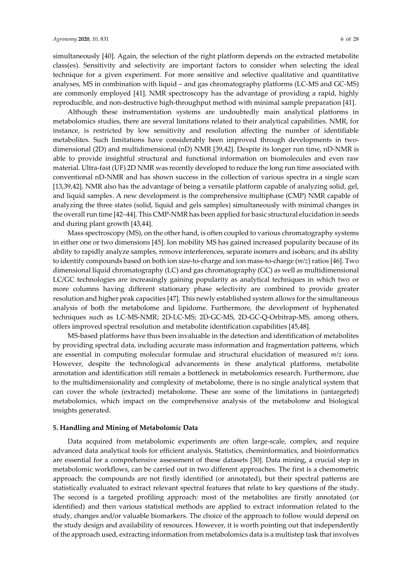simultaneously [40]. Again, the selection of the right platform depends on the extracted metabolite class(es). Sensitivity and selectivity are important factors to consider when selecting the ideal technique for a given experiment. For more sensitive and selective qualitative and quantitative analyses, MS in combination with liquid – and gas chromatography platforms (LC‐MS and GC‐MS) are commonly employed [41]. NMR spectroscopy has the advantage of providing a rapid, highly reproducible, and non‐destructive high‐throughput method with minimal sample preparation [41].

Although these instrumentation systems are undoubtedly main analytical platforms in metabolomics studies, there are several limitations related to their analytical capabilities. NMR, for instance, is restricted by low sensitivity and resolution affecting the number of identifiable metabolites. Such limitations have considerably been improved through developments in twodimensional (2D) and multidimensional (nD) NMR [39,42]. Despite its longer run time, nD‐NMR is able to provide insightful structural and functional information on biomolecules and even raw material. Ultra‐fast (UF) 2D NMR was recently developed to reduce the long run time associated with conventional nD‐NMR and has shown success in the collection of various spectra in a single scan [13,39,42]. NMR also has the advantage of being a versatile platform capable of analyzing solid, gel, and liquid samples. A new development is the comprehensive multiphase (CMP) NMR capable of analyzing the three states (solid, liquid and gels samples) simultaneously with minimal changes in the overall run time [42–44]. This CMP-NMR has been applied for basic structural elucidation in seeds and during plant growth [43,44].

Mass spectroscopy (MS), on the other hand, is often coupled to various chromatography systems in either one or two dimensions [45]. Ion mobility MS has gained increased popularity because of its ability to rapidly analyze samples, remove interferences, separate isomers and isobars; and its ability to identify compounds based on both ion size‐to‐charge and ion mass‐to‐charge (*m/z*) ratios [46]. Two dimensional liquid chromatography (LC) and gas chromatography (GC) as well as multidimensional LC/GC technologies are increasingly gaining popularity as analytical techniques in which two or more columns having different stationary phase selectivity are combined to provide greater resolution and higher peak capacities [47]. This newly established system allows for the simultaneous analysis of both the metabolome and lipidome. Furthermore, the development of hyphenated techniques such as LC‐MS‐NMR; 2D‐LC‐MS; 2D‐GC‐MS, 2D‐GC‐Q‐Orbitrap‐MS, among others, offers improved spectral resolution and metabolite identification capabilities [45,48].

MS‐based platforms have thus been invaluable in the detection and identification of metabolites by providing spectral data, including accurate mass information and fragmentation patterns, which are essential in computing molecular formulae and structural elucidation of measured *m/z* ions. However, despite the technological advancements in these analytical platforms, metabolite annotation and identification still remain a bottleneck in metabolomics research. Furthermore, due to the multidimensionality and complexity of metabolome, there is no single analytical system that can cover the whole (extracted) metabolome. These are some of the limitations in (untargeted) metabolomics, which impact on the comprehensive analysis of the metabolome and biological insights generated.

#### **5. Handling and Mining of Metabolomic Data**

Data acquired from metabolomic experiments are often large-scale, complex, and require advanced data analytical tools for efficient analysis. Statistics, cheminformatics, and bioinformatics are essential for a comprehensive assessment of these datasets [30]. Data mining, a crucial step in metabolomic workflows, can be carried out in two different approaches. The first is a chemometric approach: the compounds are not firstly identified (or annotated), but their spectral patterns are statistically evaluated to extract relevant spectral features that relate to key questions of the study. The second is a targeted profiling approach: most of the metabolites are firstly annotated (or identified) and then various statistical methods are applied to extract information related to the study, changes and/or valuable biomarkers. The choice of the approach to follow would depend on the study design and availability of resources. However, it is worth pointing out that independently of the approach used, extracting information from metabolomics data is a multistep task that involves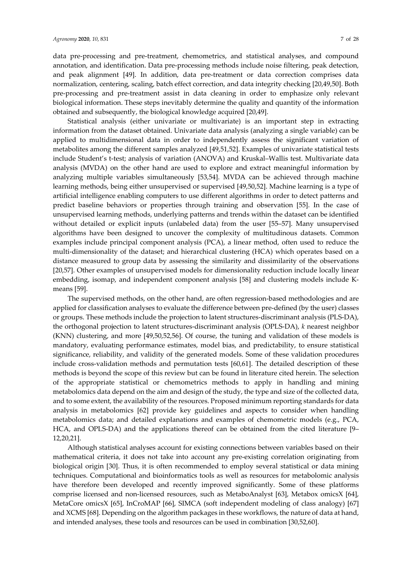data pre‐processing and pre‐treatment, chemometrics, and statistical analyses, and compound annotation, and identification. Data pre‐processing methods include noise filtering, peak detection, and peak alignment [49]. In addition, data pre‐treatment or data correction comprises data normalization, centering, scaling, batch effect correction, and data integrity checking [20,49,50]. Both pre‐processing and pre‐treatment assist in data cleaning in order to emphasize only relevant biological information. These steps inevitably determine the quality and quantity of the information obtained and subsequently, the biological knowledge acquired [20,49].

Statistical analysis (either univariate or multivariate) is an important step in extracting information from the dataset obtained. Univariate data analysis (analyzing a single variable) can be applied to multidimensional data in order to independently assess the significant variation of metabolites among the different samples analyzed [49,51,52]. Examples of univariate statistical tests include Student's t‐test; analysis of variation (ANOVA) and Kruskal–Wallis test. Multivariate data analysis (MVDA) on the other hand are used to explore and extract meaningful information by analyzing multiple variables simultaneously [53,54]. MVDA can be achieved through machine learning methods, being either unsupervised or supervised [49,50,52]. Machine learning is a type of artificial intelligence enabling computers to use different algorithms in order to detect patterns and predict baseline behaviors or properties through training and observation [55]. In the case of unsupervised learning methods, underlying patterns and trends within the dataset can be identified without detailed or explicit inputs (unlabeled data) from the user [55–57]. Many unsupervised algorithms have been designed to uncover the complexity of multitudinous datasets. Common examples include principal component analysis (PCA), a linear method, often used to reduce the multi-dimensionality of the dataset; and hierarchical clustering (HCA) which operates based on a distance measured to group data by assessing the similarity and dissimilarity of the observations [20,57]. Other examples of unsupervised models for dimensionality reduction include locally linear embedding, isomap, and independent component analysis [58] and clustering models include K‐ means [59].

The supervised methods, on the other hand, are often regression-based methodologies and are applied for classification analyses to evaluate the difference between pre‐defined (by the user) classes or groups. These methods include the projection to latent structures‐discriminant analysis (PLS‐DA), the orthogonal projection to latent structures‐discriminant analysis (OPLS‐DA), *k* nearest neighbor (KNN) clustering, and more [49,50,52,56]. Of course, the tuning and validation of these models is mandatory, evaluating performance estimates, model bias, and predictability, to ensure statistical significance, reliability, and validity of the generated models. Some of these validation procedures include cross-validation methods and permutation tests [60,61]. The detailed description of these methods is beyond the scope of this review but can be found in literature cited herein. The selection of the appropriate statistical or chemometrics methods to apply in handling and mining metabolomics data depend on the aim and design of the study, the type and size of the collected data, and to some extent, the availability of the resources. Proposed minimum reporting standards for data analysis in metabolomics [62] provide key guidelines and aspects to consider when handling metabolomics data; and detailed explanations and examples of chemometric models (e.g., PCA, HCA, and OPLS‐DA) and the applications thereof can be obtained from the cited literature [9– 12,20,21].

Although statistical analyses account for existing connections between variables based on their mathematical criteria, it does not take into account any pre‐existing correlation originating from biological origin [30]. Thus, it is often recommended to employ several statistical or data mining techniques. Computational and bioinformatics tools as well as resources for metabolomic analysis have therefore been developed and recently improved significantly. Some of these platforms comprise licensed and non‐licensed resources, such as MetaboAnalyst [63], Metabox omicsX [64], MetaCore omicsX [65], InCroMAP [66], SIMCA (soft independent modeling of class analogy) [67] and XCMS [68]. Depending on the algorithm packages in these workflows, the nature of data at hand, and intended analyses, these tools and resources can be used in combination [30,52,60].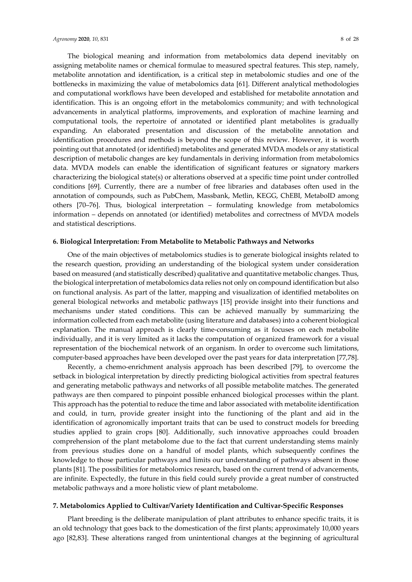The biological meaning and information from metabolomics data depend inevitably on assigning metabolite names or chemical formulae to measured spectral features. This step, namely, metabolite annotation and identification, is a critical step in metabolomic studies and one of the bottlenecks in maximizing the value of metabolomics data [61]. Different analytical methodologies and computational workflows have been developed and established for metabolite annotation and identification. This is an ongoing effort in the metabolomics community; and with technological advancements in analytical platforms, improvements, and exploration of machine learning and computational tools, the repertoire of annotated or identified plant metabolites is gradually expanding. An elaborated presentation and discussion of the metabolite annotation and identification procedures and methods is beyond the scope of this review. However, it is worth pointing out that annotated (oridentified) metabolites and generated MVDA models or any statistical description of metabolic changes are key fundamentals in deriving information from metabolomics data. MVDA models can enable the identification of significant features or signatory markers characterizing the biological state(s) or alterations observed at a specific time point under controlled conditions [69]. Currently, there are a number of free libraries and databases often used in the annotation of compounds, such as PubChem, Massbank, Metlin, KEGG, ChEBI, MetaboID among others [70–76]. Thus, biological interpretation – formulating knowledge from metabolomics information – depends on annotated (or identified) metabolites and correctness of MVDA models and statistical descriptions.

#### **6. Biological Interpretation: From Metabolite to Metabolic Pathways and Networks**

One of the main objectives of metabolomics studies is to generate biological insights related to the research question, providing an understanding of the biological system under consideration based on measured (and statistically described) qualitative and quantitative metabolic changes. Thus, the biological interpretation of metabolomics data relies not only on compound identification but also on functional analysis. As part of the latter, mapping and visualization of identified metabolites on general biological networks and metabolic pathways [15] provide insight into their functions and mechanisms under stated conditions. This can be achieved manually by summarizing the information collected from each metabolite (using literature and databases) into a coherent biological explanation. The manual approach is clearly time‐consuming as it focuses on each metabolite individually, and it is very limited as it lacks the computation of organized framework for a visual representation of the biochemical network of an organism. In order to overcome such limitations, computer-based approaches have been developed over the past years for data interpretation [77,78].

Recently, a chemo‐enrichment analysis approach has been described [79], to overcome the setback in biological interpretation by directly predicting biological activities from spectral features and generating metabolic pathways and networks of all possible metabolite matches. The generated pathways are then compared to pinpoint possible enhanced biological processes within the plant. This approach has the potential to reduce the time and labor associated with metabolite identification and could, in turn, provide greater insight into the functioning of the plant and aid in the identification of agronomically important traits that can be used to construct models for breeding studies applied to grain crops [80]. Additionally, such innovative approaches could broaden comprehension of the plant metabolome due to the fact that current understanding stems mainly from previous studies done on a handful of model plants, which subsequently confines the knowledge to those particular pathways and limits our understanding of pathways absent in those plants [81]. The possibilities for metabolomics research, based on the current trend of advancements, are infinite. Expectedly, the future in this field could surely provide a great number of constructed metabolic pathways and a more holistic view of plant metabolome.

### **7. Metabolomics Applied to Cultivar/Variety Identification and Cultivar‐Specific Responses**

Plant breeding is the deliberate manipulation of plant attributes to enhance specific traits, it is an old technology that goes back to the domestication of the first plants; approximately 10,000 years ago [82,83]. These alterations ranged from unintentional changes at the beginning of agricultural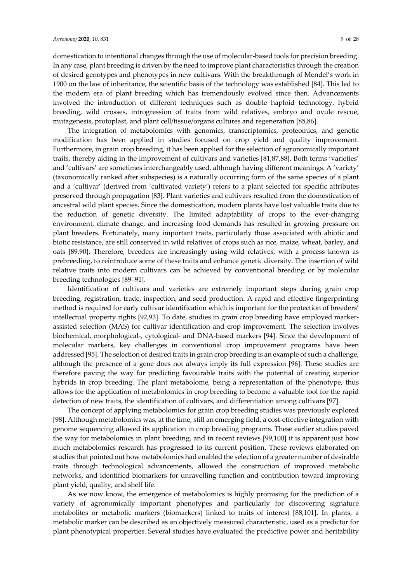domestication to intentional changes through the use of molecular‐based tools for precision breeding. In any case, plant breeding is driven by the need to improve plant characteristics through the creation of desired genotypes and phenotypes in new cultivars. With the breakthrough of Mendel's work in 1900 on the law of inheritance, the scientific basis of the technology was established [84]. This led to the modern era of plant breeding which has tremendously evolved since then. Advancements involved the introduction of different techniques such as double haploid technology, hybrid breeding, wild crosses, introgression of traits from wild relatives, embryo and ovule rescue, mutagenesis, protoplast, and plant cell/tissue/organs cultures and regeneration [85,86].

The integration of metabolomics with genomics, transcriptomics, proteomics, and genetic modification has been applied in studies focused on crop yield and quality improvement. Furthermore, in grain crop breeding, it has been applied for the selection of agronomically important traits, thereby aiding in the improvement of cultivars and varieties [81,87,88]. Both terms 'varieties' and 'cultivars' are sometimes interchangeably used, although having different meanings. A 'variety' (taxonomically ranked after subspecies) is a naturally occurring form of the same species of a plant and a 'cultivar' (derived from 'cultivated variety') refers to a plant selected for specific attributes preserved through propagation [83]. Plant varieties and cultivars resulted from the domestication of ancestral wild plant species. Since the domestication, modern plants have lost valuable traits due to the reduction of genetic diversity. The limited adaptability of crops to the ever‐changing environment, climate change, and increasing food demands has resulted in growing pressure on plant breeders. Fortunately, many important traits, particularly those associated with abiotic and biotic resistance, are still conserved in wild relatives of crops such as rice, maize, wheat, barley, and oats [89,90]. Therefore, breeders are increasingly using wild relatives, with a process known as prebreeding, to reintroduce some of these traits and enhance genetic diversity. The insertion of wild relative traits into modern cultivars can be achieved by conventional breeding or by molecular breeding technologies [89–91].

Identification of cultivars and varieties are extremely important steps during grain crop breeding, registration, trade, inspection, and seed production. A rapid and effective fingerprinting method is required for early cultivar identification which is important for the protection of breeders' intellectual property rights [92,93]. To date, studies in grain crop breeding have employed marker‐ assisted selection (MAS) for cultivar identification and crop improvement. The selection involves biochemical, morphological‐, cytological‐ and DNA‐based markers [94]. Since the development of molecular markers, key challenges in conventional crop improvement programs have been addressed [95]. The selection of desired traits in grain crop breeding is an example of such a challenge, although the presence of a gene does not always imply its full expression [96]. These studies are therefore paving the way for predicting favourable traits with the potential of creating superior hybrids in crop breeding. The plant metabolome, being a representation of the phenotype, thus allows for the application of metabolomics in crop breeding to become a valuable tool for the rapid detection of new traits, the identification of cultivars, and differentiation among cultivars [97].

The concept of applying metabolomics for grain crop breeding studies was previously explored [98]. Although metabolomics was, at the time, still an emerging field, a cost-effective integration with genome sequencing allowed its application in crop breeding programs. These earlier studies paved the way for metabolomics in plant breeding, and in recent reviews [99,100] it is apparent just how much metabolomics research has progressed to its current position. These reviews elaborated on studies that pointed out how metabolomics had enabled the selection of a greater number of desirable traits through technological advancements, allowed the construction of improved metabolic networks, and identified biomarkers for unravelling function and contribution toward improving plant yield, quality, and shelf life.

As we now know, the emergence of metabolomics is highly promising for the prediction of a variety of agronomically important phenotypes and particularly for discovering signature metabolites or metabolic markers (biomarkers) linked to traits of interest [88,101]. In plants, a metabolic marker can be described as an objectively measured characteristic, used as a predictor for plant phenotypical properties. Several studies have evaluated the predictive power and heritability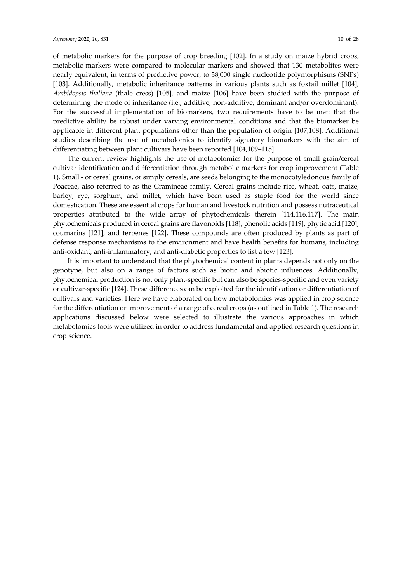of metabolic markers for the purpose of crop breeding [102]. In a study on maize hybrid crops, metabolic markers were compared to molecular markers and showed that 130 metabolites were nearly equivalent, in terms of predictive power, to 38,000 single nucleotide polymorphisms (SNPs) [103]. Additionally, metabolic inheritance patterns in various plants such as foxtail millet [104], *Arabidopsis thaliana* (thale cress) [105], and maize [106] have been studied with the purpose of determining the mode of inheritance (i.e., additive, non-additive, dominant and/or overdominant). For the successful implementation of biomarkers, two requirements have to be met: that the predictive ability be robust under varying environmental conditions and that the biomarker be applicable in different plant populations other than the population of origin [107,108]. Additional studies describing the use of metabolomics to identify signatory biomarkers with the aim of differentiating between plant cultivars have been reported [104,109–115].

The current review highlights the use of metabolomics for the purpose of small grain/cereal cultivar identification and differentiation through metabolic markers for crop improvement (Table 1). Small ‐ or cereal grains, or simply cereals, are seeds belonging to the monocotyledonous family of Poaceae, also referred to as the Gramineae family. Cereal grains include rice, wheat, oats, maize, barley, rye, sorghum, and millet, which have been used as staple food for the world since domestication. These are essential crops for human and livestock nutrition and possess nutraceutical properties attributed to the wide array of phytochemicals therein [114,116,117]. The main phytochemicals produced in cereal grains are flavonoids [118], phenolic acids [119], phytic acid [120], coumarins [121], and terpenes [122]. These compounds are often produced by plants as part of defense response mechanisms to the environment and have health benefits for humans, including anti‐oxidant, anti‐inflammatory, and anti‐diabetic properties to list a few [123].

It is important to understand that the phytochemical content in plants depends not only on the genotype, but also on a range of factors such as biotic and abiotic influences. Additionally, phytochemical production is not only plant‐specific but can also be species‐specific and even variety or cultivar‐specific [124]. These differences can be exploited for the identification or differentiation of cultivars and varieties. Here we have elaborated on how metabolomics was applied in crop science for the differentiation or improvement of a range of cereal crops (as outlined in Table 1). The research applications discussed below were selected to illustrate the various approaches in which metabolomics tools were utilized in order to address fundamental and applied research questions in crop science.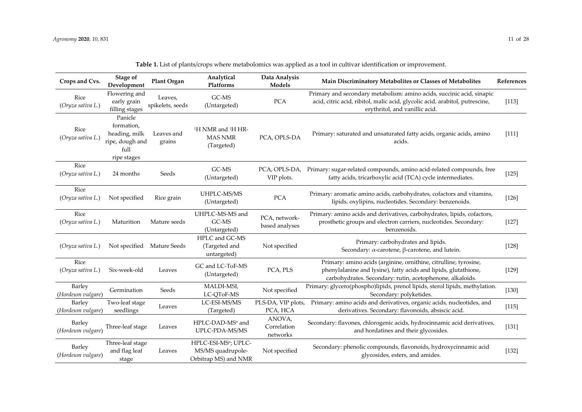| Crops and Cvs.              | Stage of<br>Development                                                          | Plant Organ                 | Analytical<br>Platforms                                                       | Data Analysis<br>Models           | Main Discriminatory Metabolites or Classes of Metabolites                                                                                                                                        | References |
|-----------------------------|----------------------------------------------------------------------------------|-----------------------------|-------------------------------------------------------------------------------|-----------------------------------|--------------------------------------------------------------------------------------------------------------------------------------------------------------------------------------------------|------------|
| Rice<br>(Oryza sativa L.)   | Flowering and<br>early grain<br>filling stages                                   | Leaves,<br>spikelets, seeds | GC-MS<br>(Untargeted)                                                         | PCA                               | Primary and secondary metabolism: amino acids, succinic acid, sinapic<br>acid, citric acid, ribitol, malic acid, glycolic acid, arabitol, putrescine,<br>erythritol, and vanillic acid.          | [113]      |
| Rice<br>(Oryza sativa L.)   | Panicle<br>formation,<br>heading, milk<br>ripe, dough and<br>full<br>ripe stages | Leaves and<br>grains        | <sup>1</sup> H NMR and <sup>1</sup> H HR-<br><b>MAS NMR</b><br>(Targeted)     | PCA, OPLS-DA                      | Primary: saturated and unsaturated fatty acids, organic acids, amino<br>acids.                                                                                                                   | $[111]$    |
| Rice<br>(Oryza sativa L.)   | 24 months                                                                        | Seeds                       | GC-MS<br>(Untargeted)                                                         | PCA, OPLS-DA,<br>VIP plots.       | Primary: sugar-related compounds, amino acid-related compounds, free<br>fatty acids, tricarboxylic acid (TCA) cycle intermediates.                                                               | $[125]$    |
| Rice<br>(Oryza sativa L.)   | Not specified                                                                    | Rice grain                  | UHPLC-MS/MS<br>(Untargeted)                                                   | PCA                               | Primary: aromatic amino acids, carbohydrates, cofactors and vitamins,<br>lipids, oxylipins, nucleotides. Secondary: benzenoids.                                                                  | $[126]$    |
| Rice<br>(Oryza sativa L.)   | Maturition                                                                       | Mature seeds                | UHPLC-MS-MS and<br>GC-MS<br>(Untargeted)                                      | PCA, network-<br>based analyses   | Primary: amino acids and derivatives, carbohydrates, lipids, cofactors,<br>prosthetic groups and electron carriers, nucleotides. Secondary:<br>benzenoids.                                       | $[127]$    |
| (Oryza sativa L.)           | Not specified                                                                    | Mature Seeds                | HPLC and GC-MS<br>(Targeted and<br>untargeted)                                | Not specified                     | Primary: carbohydrates and lipids.<br>Secondary: $\alpha$ -carotene, $\beta$ -carotene, and lutein.                                                                                              | $[128]$    |
| Rice<br>(Oryza sativa L.)   | Six-week-old                                                                     | Leaves                      | GC and LC-ToF-MS<br>(Untargeted)                                              | PCA, PLS                          | Primary: amino acids (arginine, ornithine, citrulline, tyrosine,<br>phenylalanine and lysine), fatty acids and lipids, glutathione,<br>carbohydrates. Secondary: rutin, acetophenone, alkaloids. | $[129]$    |
| Barley<br>(Hordeum vulgare) | Germination                                                                      | Seeds                       | MALDI-MSI,<br>LC-QToF-MS                                                      | Not specified                     | Primary: glycero(phospho)lipids, prenol lipids, sterol lipids, methylation.<br>Secondary: polyketides.                                                                                           | $[130]$    |
| Barley<br>(Hordeum vulgare) | Two-leaf stage<br>seedlings                                                      | Leaves                      | LC-ESI-MS/MS<br>(Targeted)                                                    | PLS-DA, VIP plots,<br>PCA, HCA    | Primary: amino acids and derivatives, organic acids, nucleotides, and<br>derivatives. Secondary: flavonoids, absiscic acid.                                                                      | [115]      |
| Barley<br>(Hordeum vulgare) | Three-leaf stage                                                                 | Leaves                      | HPLC-DAD-MS <sup>n</sup> and<br>UPLC-PDA-MS/MS                                | ANOVA,<br>Correlation<br>networks | Secondary: flavones, chlorogenic acids, hydrocinnamic acid derivatives,<br>and hordatines and their glycosides.                                                                                  | $[131]$    |
| Barley<br>(Hordeum vulgare) | Three-leaf stage<br>and flag leaf<br>stage                                       | Leaves                      | HPLC-ESI-MS <sup>n</sup> ; UPLC-<br>MS/MS quadrupole-<br>Orbitrap MS) and NMR | Not specified                     | Secondary: phenolic compounds, flavonoids, hydroxycinnamic acid<br>glycosides, esters, and amides.                                                                                               | $[132]$    |

|  |  | Table 1. List of plants/crops where metabolomics was applied as a tool in cultivar identification or improvement. |  |  |  |  |
|--|--|-------------------------------------------------------------------------------------------------------------------|--|--|--|--|
|--|--|-------------------------------------------------------------------------------------------------------------------|--|--|--|--|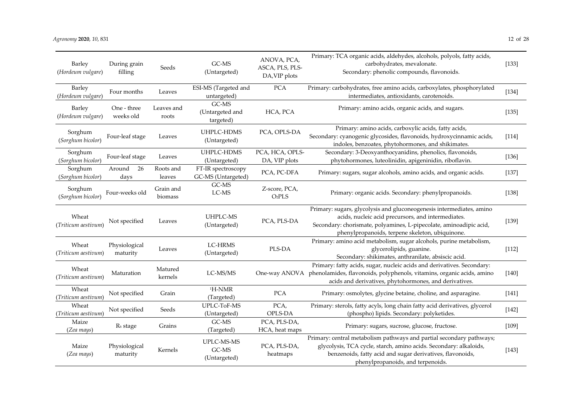| Barley<br>(Hordeum vulgare)  | During grain<br>filling   | Seeds                | GC-MS<br>(Untargeted)                    | ANOVA, PCA,<br>ASCA, PLS, PLS-<br>DA, VIP plots | Primary: TCA organic acids, aldehydes, alcohols, polyols, fatty acids,<br>carbohydrates, mevalonate.<br>Secondary: phenolic compounds, flavonoids.                                                                                                  | $[133]$ |
|------------------------------|---------------------------|----------------------|------------------------------------------|-------------------------------------------------|-----------------------------------------------------------------------------------------------------------------------------------------------------------------------------------------------------------------------------------------------------|---------|
| Barley<br>(Hordeum vulgare)  | Four months               | Leaves               | ESI-MS (Targeted and<br>untargeted)      | <b>PCA</b>                                      | Primary: carbohydrates, free amino acids, carboxylates, phosphorylated<br>intermediates, antioxidants, carotenoids.                                                                                                                                 | $[134]$ |
| Barley<br>(Hordeum vulgare)  | One - three<br>weeks old  | Leaves and<br>roots  | GC-MS<br>(Untargeted and<br>targeted)    | HCA, PCA                                        | Primary: amino acids, organic acids, and sugars.                                                                                                                                                                                                    | [135]   |
| Sorghum<br>(Sorghum bicolor) | Four-leaf stage           | Leaves               | UHPLC-HDMS<br>(Untargeted)               | PCA, OPLS-DA                                    | Primary: amino acids, carboxylic acids, fatty acids,<br>Secondary: cyanogenic glycosides, flavonoids, hydroxycinnamic acids,<br>indoles, benzoates, phytohormones, and shikimates.                                                                  | [114]   |
| Sorghum<br>(Sorghum bicolor) | Four-leaf stage           | Leaves               | UHPLC-HDMS<br>(Untargeted)               | PCA, HCA, OPLS-<br>DA, VIP plots                | Secondary: 3-Deoxyanthocyanidins, phenolics, flavonoids,<br>phytohormones, luteolinidin, apigeninidin, riboflavin.                                                                                                                                  | $[136]$ |
| Sorghum<br>(Sorghum bicolor) | 26<br>Around<br>days      | Roots and<br>leaves  | FT-IR spectroscopy<br>GC-MS (Untargeted) | PCA, PC-DFA                                     | Primary: sugars, sugar alcohols, amino acids, and organic acids.                                                                                                                                                                                    | [137]   |
| Sorghum<br>(Sorghum bicolor) | Four-weeks old            | Grain and<br>biomass | GC-MS<br>LC-MS                           | Z-score, PCA,<br>O <sub>2</sub> PLS             | Primary: organic acids. Secondary: phenylpropanoids.                                                                                                                                                                                                | [138]   |
| Wheat<br>(Triticum aestivum) | Not specified             | Leaves               | UHPLC-MS<br>(Untargeted)                 | PCA, PLS-DA                                     | Primary: sugars, glycolysis and gluconeogenesis intermediates, amino<br>acids, nucleic acid precursors, and intermediates.<br>Secondary: chorismate, polyamines, L-pipecolate, aminoadipic acid,<br>phenylpropanoids, terpene skeleton, ubiquinone. | [139]   |
| Wheat<br>(Triticum aestivum) | Physiological<br>maturity | Leaves               | LC-HRMS<br>(Untargeted)                  | PLS-DA                                          | Primary: amino acid metabolism, sugar alcohols, purine metabolism,<br>glycerolipids, guanine.<br>Secondary: shikimates, anthranilate, absiscic acid.                                                                                                | [112]   |
| Wheat<br>(Triticum aestivum) | Maturation                | Matured<br>kernels   | LC-MS/MS                                 | One-way ANOVA                                   | Primary: fatty acids, sugar, nucleic acids and derivatives. Secondary:<br>phenolamides, flavonoids, polyphenols, vitamins, organic acids, amino<br>acids and derivatives, phytohormones, and derivatives.                                           | $[140]$ |
| Wheat<br>(Triticum aestivum) | Not specified             | Grain                | <sup>1</sup> H-NMR<br>(Targeted)         | <b>PCA</b>                                      | Primary: osmolytes, glycine betaine, choline, and asparagine.                                                                                                                                                                                       | [141]   |
| Wheat<br>(Triticum aestivum) | Not specified             | Seeds                | UPLC-ToF-MS<br>(Untargeted)              | PCA,<br>OPLS-DA                                 | Primary: sterols, fatty acyls, long chain fatty acid derivatives, glycerol<br>(phospho) lipids. Secondary: polyketides.                                                                                                                             | $[142]$ |
| Maize<br>(Zea mays)          | R <sub>6</sub> stage      | Grains               | GC-MS<br>(Targeted)                      | PCA, PLS-DA,<br>HCA, heat maps                  | Primary: sugars, sucrose, glucose, fructose.                                                                                                                                                                                                        | [109]   |
| Maize<br>(Zea mays)          | Physiological<br>maturity | Kernels              | UPLC-MS-MS<br>GC-MS<br>(Untargeted)      | PCA, PLS-DA,<br>heatmaps                        | Primary: central metabolism pathways and partial secondary pathways;<br>glycolysis, TCA cycle, starch, amino acids. Secondary: alkaloids,<br>benzenoids, fatty acid and sugar derivatives, flavonoids,<br>phenylpropanoids, and terpenoids.         | [143]   |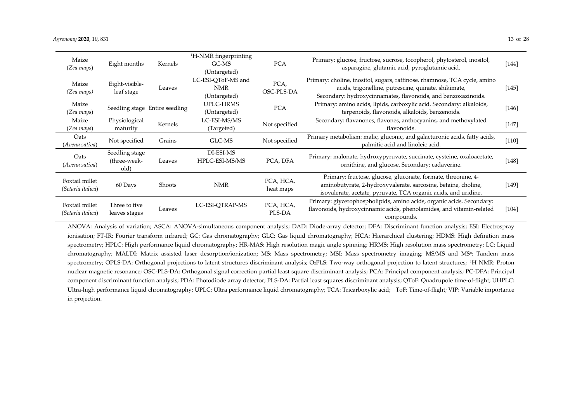| Maize<br>(Zea mays)                 | Eight months                           | Kernels                        | <sup>1</sup> H-NMR fingerprinting<br>GC-MS<br>(Untargeted) | <b>PCA</b>             | Primary: glucose, fructose, sucrose, tocopherol, phytosterol, inositol,<br>asparagine, glutamic acid, pyroglutamic acid.                                                                           | $[144]$ |
|-------------------------------------|----------------------------------------|--------------------------------|------------------------------------------------------------|------------------------|----------------------------------------------------------------------------------------------------------------------------------------------------------------------------------------------------|---------|
| Maize<br>(Zea mays)                 | Eight-visible-<br>leaf stage           | Leaves                         | LC-ESI-OToF-MS and<br>NMR<br>(Untargeted)                  | PCA,<br>OSC-PLS-DA     | Primary: choline, inositol, sugars, raffinose, rhamnose, TCA cycle, amino<br>acids, trigonelline, putrescine, quinate, shikimate,<br>Secondary: hydroxycinnamates, flavonoids, and benzoxazinoids. | $[145]$ |
| Maize<br>(Zea mays)                 |                                        | Seedling stage Entire seedling | UPLC-HRMS<br>(Untargeted)                                  | <b>PCA</b>             | Primary: amino acids, lipids, carboxylic acid. Secondary: alkaloids,<br>terpenoids, flavonoids, alkaloids, benzenoids.                                                                             | $[146]$ |
| Maize<br>(Zea mays)                 | Physiological<br>maturity              | Kernels                        | LC-ESI-MS/MS<br>(Targeted)                                 | Not specified          | Secondary: flavanones, flavones, anthocyanins, and methoxylated<br>flavonoids.                                                                                                                     | $[147]$ |
| Oats<br>(Avena sativa)              | Not specified                          | Grains                         | GLC-MS                                                     | Not specified          | Primary metabolism: malic, gluconic, and galacturonic acids, fatty acids,<br>palmitic acid and linoleic acid.                                                                                      | $[110]$ |
| Oats<br>(Avena sativa)              | Seedling stage<br>(three-week-<br>old) | Leaves                         | DI-ESI-MS<br>HPLC-ESI-MS/MS                                | PCA, DFA               | Primary: malonate, hydroxypyruvate, succinate, cysteine, oxaloacetate,<br>ornithine, and glucose. Secondary: cadaverine.                                                                           | $[148]$ |
| Foxtail millet<br>(Setaria italica) | 60 Days                                | Shoots                         | <b>NMR</b>                                                 | PCA, HCA,<br>heat maps | Primary: fructose, glucose, gluconate, formate, threonine, 4-<br>aminobutyrate, 2-hydroxyvalerate, sarcosine, betaine, choline,<br>isovalerate, acetate, pyruvate, TCA organic acids, and uridine. | $[149]$ |
| Foxtail millet<br>(Setaria italica) | Three to five<br>leaves stages         | Leaves                         | LC-ESI-QTRAP-MS                                            | PCA, HCA,<br>PLS-DA    | Primary: glycerophospholipids, amino acids, organic acids. Secondary:<br>flavonoids, hydroxycinnamic acids, phenolamides, and vitamin-related<br>compounds.                                        | $[104]$ |

ANOVA: Analysis of variation; ASCA: ANOVA‐simultaneous componen<sup>t</sup> analysis; DAD: Diode‐array detector; DFA: Discriminant function analysis; ESI: Electrospray ionisation; FT-IR: Fourier transform infrared; GC: Gas chromatography; GLC: Gas liquid chromatography; HCA: Hierarchical clustering; HDMS: High definition mass spectrometry; HPLC: High performance liquid chromatography; HR-MAS: High resolution magic angle spinning; HRMS: High resolution mass spectrometry; LC: Liquid chromatography; MALDI: Matrix assisted laser desorption/ionization; MS: Mass spectrometry; MSI: Mass spectrometry imaging; MS/MS and MS<sup>n</sup>: Tandem mass spectrometry; OPLS-DA: Orthogonal projections to latent structures discriminant analysis; O2PLS: Two-way orthogonal projection to latent structures; <sup>1</sup>H NMR: Proton nuclear magnetic resonance; OSC‐PLS‐DA: Orthogonal signal correction partial least square discriminant analysis; PCA: Principal componen<sup>t</sup> analysis; PC‐DFA: Principal componen<sup>t</sup> discriminant function analysis; PDA: Photodiode array detector; PLS‐DA: Partial least squares discriminant analysis; QToF: Quadrupole time‐of‐flight; UHPLC: Ultra‐high performance liquid chromatography; UPLC: Ultra performance liquid chromatography; TCA: Tricarboxylic acid; ToF: Time‐of‐flight; VIP: Variable importance in projection.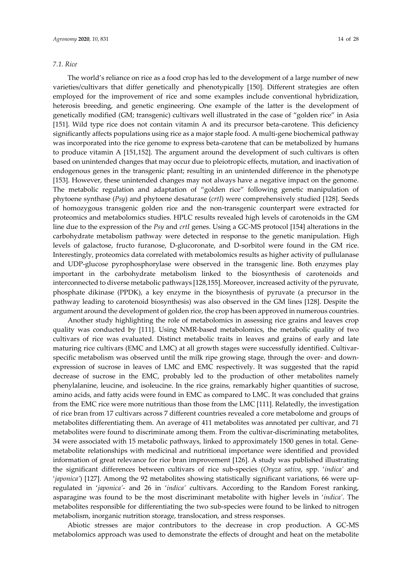# *7.1. Rice*

The world's reliance on rice as a food crop has led to the development of a large number of new varieties/cultivars that differ genetically and phenotypically [150]. Different strategies are often employed for the improvement of rice and some examples include conventional hybridization, heterosis breeding, and genetic engineering. One example of the latter is the development of genetically modified (GM; transgenic) cultivars well illustrated in the case of "golden rice" in Asia [151]. Wild type rice does not contain vitamin A and its precursor beta-carotene. This deficiency significantly affects populations using rice as a major staple food. A multi-gene biochemical pathway was incorporated into the rice genome to express beta-carotene that can be metabolized by humans to produce vitamin A [151,152]. The argument around the development of such cultivars is often based on unintended changes that may occur due to pleiotropic effects, mutation, and inactivation of endogenous genes in the transgenic plant; resulting in an unintended difference in the phenotype [153]. However, these unintended changes may not always have a negative impact on the genome. The metabolic regulation and adaptation of "golden rice" following genetic manipulation of phytoene synthase (*Psy*) and phytoene desaturase (*crtI*) were comprehensively studied [128]. Seeds of homozygous transgenic golden rice and the non‐transgenic counterpart were extracted for proteomics and metabolomics studies. HPLC results revealed high levels of carotenoids in the GM line due to the expression of the *Psy* and *crtI* genes. Using a GC‐MS protocol [154] alterations in the carbohydrate metabolism pathway were detected in response to the genetic manipulation. High levels of galactose, fructo furanose, D‐glucoronate, and D‐sorbitol were found in the GM rice. Interestingly, proteomics data correlated with metabolomics results as higher activity of pullulanase and UDP‐glucose pyrophosphorylase were observed in the transgenic line. Both enzymes play important in the carbohydrate metabolism linked to the biosynthesis of carotenoids and interconnected to diverse metabolic pathways [128,155]. Moreover, increased activity of the pyruvate, phosphate dikinase (PPDK), a key enzyme in the biosynthesis of pyruvate (a precursor in the pathway leading to carotenoid biosynthesis) was also observed in the GM lines [128]. Despite the argument around the development of golden rice, the crop has been approved in numerous countries.

Another study highlighting the role of metabolomics in assessing rice grains and leaves crop quality was conducted by [111]. Using NMR‐based metabolomics, the metabolic quality of two cultivars of rice was evaluated. Distinct metabolic traits in leaves and grains of early and late maturing rice cultivars (EMC and LMC) at all growth stages were successfully identified. Cultivarspecific metabolism was observed until the milk ripe growing stage, through the over- and downexpression of sucrose in leaves of LMC and EMC respectively. It was suggested that the rapid decrease of sucrose in the EMC, probably led to the production of other metabolites namely phenylalanine, leucine, and isoleucine. In the rice grains, remarkably higher quantities of sucrose, amino acids, and fatty acids were found in EMC as compared to LMC. It was concluded that grains from the EMC rice were more nutritious than those from the LMC [111]. Relatedly, the investigation of rice bran from 17 cultivars across 7 different countries revealed a core metabolome and groups of metabolites differentiating them. An average of 411 metabolites was annotated per cultivar, and 71 metabolites were found to discriminate among them. From the cultivar-discriminating metabolites, 34 were associated with 15 metabolic pathways, linked to approximately 1500 genes in total. Gene‐ metabolite relationships with medicinal and nutritional importance were identified and provided information of great relevance for rice bran improvement [126]. A study was published illustrating the significant differences between cultivars of rice sub‐species (*Oryza sativa*, spp. '*indica'* and '*japonica'*) [127]. Among the 92 metabolites showing statistically significant variations, 66 were upregulated in '*japonica'*‐ and 26 in '*indica'* cultivars. According to the Random Forest ranking, asparagine was found to be the most discriminant metabolite with higher levels in '*indica'*. The metabolites responsible for differentiating the two sub‐species were found to be linked to nitrogen metabolism, inorganic nutrition storage, translocation, and stress responses.

Abiotic stresses are major contributors to the decrease in crop production. A GC‐MS metabolomics approach was used to demonstrate the effects of drought and heat on the metabolite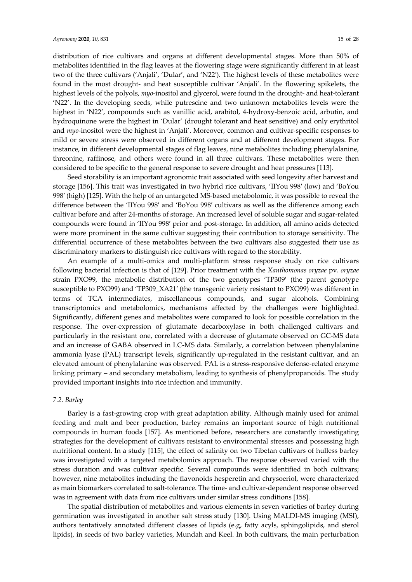distribution of rice cultivars and organs at different developmental stages. More than 50% of metabolites identified in the flag leaves at the flowering stage were significantly different in at least two of the three cultivars ('Anjali', 'Dular', and 'N22′). The highest levels of these metabolites were found in the most drought‐ and heat susceptible cultivar 'Anjali'. In the flowering spikelets, the highest levels of the polyols, *myo*-inositol and glycerol, were found in the drought- and heat-tolerant 'N22'. In the developing seeds, while putrescine and two unknown metabolites levels were the highest in 'N22', compounds such as vanillic acid, arabitol, 4-hydroxy-benzoic acid, arbutin, and hydroquinone were the highest in 'Dular' (drought tolerant and heat sensitive) and only erythritol and *myo*-inositol were the highest in 'Anjali'. Moreover, common and cultivar-specific responses to mild or severe stress were observed in different organs and at different development stages. For instance, in different developmental stages of flag leaves, nine metabolites including phenylalanine, threonine, raffinose, and others were found in all three cultivars. These metabolites were then considered to be specific to the general response to severe drought and heat pressures [113].

Seed storability is an important agronomic trait associated with seed longevity after harvest and storage [156]. This trait was investigated in two hybrid rice cultivars, 'IIYou 998′ (low) and 'BoYou 998′ (high) [125]. With the help of an untargeted MS‐based metabolomic, it was possible to reveal the difference between the 'IIYou 998′ and 'BoYou 998′ cultivars as well as the difference among each cultivar before and after 24‐months of storage. An increased level of soluble sugar and sugar‐related compounds were found in 'IIYou 998′ prior and post‐storage. In addition, all amino acids detected were more prominent in the same cultivar suggesting their contribution to storage sensitivity. The differential occurrence of these metabolites between the two cultivars also suggested their use as discriminatory markers to distinguish rice cultivars with regard to the storability.

An example of a multi‐omics and multi‐platform stress response study on rice cultivars following bacterial infection is that of [129]. Prior treatment with the *Xanthomonas oryzae* pv. *oryzae* strain PXO99, the metabolic distribution of the two genotypes 'TP309′ (the parent genotype susceptible to PXO99) and 'TP309\_XA21′ (the transgenic variety resistant to PXO99) was different in terms of TCA intermediates, miscellaneous compounds, and sugar alcohols. Combining transcriptomics and metabolomics, mechanisms affected by the challenges were highlighted. Significantly, different genes and metabolites were compared to look for possible correlation in the response. The over-expression of glutamate decarboxylase in both challenged cultivars and particularly in the resistant one, correlated with a decrease of glutamate observed on GC-MS data and an increase of GABA observed in LC‐MS data. Similarly, a correlation between phenylalanine ammonia lyase (PAL) transcript levels, significantly up-regulated in the resistant cultivar, and an elevated amount of phenylalanine was observed. PAL is a stress-responsive defense-related enzyme linking primary – and secondary metabolism, leading to synthesis of phenylpropanoids. The study provided important insights into rice infection and immunity.

### *7.2. Barley*

Barley is a fast‐growing crop with great adaptation ability. Although mainly used for animal feeding and malt and beer production, barley remains an important source of high nutritional compounds in human foods [157]. As mentioned before, researchers are constantly investigating strategies for the development of cultivars resistant to environmental stresses and possessing high nutritional content. In a study [115], the effect of salinity on two Tibetan cultivars of hulless barley was investigated with a targeted metabolomics approach. The response observed varied with the stress duration and was cultivar specific. Several compounds were identified in both cultivars; however, nine metabolites including the flavonoids hesperetin and chrysoeriol, were characterized as main biomarkers correlated to salt-tolerance. The time- and cultivar-dependent response observed was in agreement with data from rice cultivars under similar stress conditions [158].

The spatial distribution of metabolites and various elements in seven varieties of barley during germination was investigated in another salt stress study [130]. Using MALDI‐MS imaging (MSI), authors tentatively annotated different classes of lipids (e.g, fatty acyls, sphingolipids, and sterol lipids), in seeds of two barley varieties, Mundah and Keel. In both cultivars, the main perturbation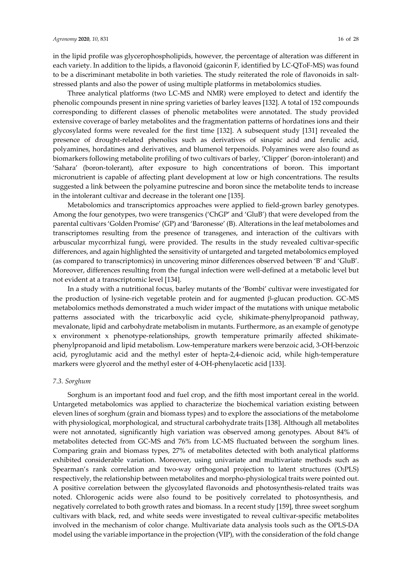in the lipid profile was glycerophospholipids, however, the percentage of alteration was different in each variety. In addition to the lipids, a flavonoid (gaiconin F, identified by LC‐QToF‐MS) was found to be a discriminant metabolite in both varieties. The study reiterated the role of flavonoids in saltstressed plants and also the power of using multiple platforms in metabolomics studies.

Three analytical platforms (two LC‐MS and NMR) were employed to detect and identify the phenolic compounds present in nine spring varieties of barley leaves [132]. A total of 152 compounds corresponding to different classes of phenolic metabolites were annotated. The study provided extensive coverage of barley metabolites and the fragmentation patterns of hordatines ions and their glycosylated forms were revealed for the first time [132]. A subsequent study [131] revealed the presence of drought‐related phenolics such as derivatives of sinapic acid and ferulic acid, polyamines, hordatines and derivatives, and blumenol terpenoids. Polyamines were also found as biomarkers following metabolite profiling of two cultivars of barley, 'Clipper' (boron-intolerant) and 'Sahara' (boron‐tolerant), after exposure to high concentrations of boron. This important micronutrient is capable of affecting plant development at low or high concentrations. The results suggested a link between the polyamine putrescine and boron since the metabolite tends to increase in the intolerant cultivar and decrease in the tolerant one [135].

Metabolomics and transcriptomics approaches were applied to field‐grown barley genotypes. Among the four genotypes, two were transgenics ('ChGP' and 'GluB') that were developed from the parental cultivars 'Golden Promise' (GP) and 'Baronesse' (B). Alterations in the leaf metabolomes and transcriptomes resulting from the presence of transgenes, and interaction of the cultivars with arbuscular mycorrhizal fungi, were provided. The results in the study revealed cultivar‐specific differences, and again highlighted the sensitivity of untargeted and targeted metabolomics employed (as compared to transcriptomics) in uncovering minor differences observed between 'B' and 'GluB'. Moreover, differences resulting from the fungal infection were well-defined at a metabolic level but not evident at a transcriptomic level [134].

In a study with a nutritional focus, barley mutants of the 'Bombi' cultivar were investigated for the production of lysine‐rich vegetable protein and for augmented β‐glucan production. GC‐MS metabolomics methods demonstrated a much wider impact of the mutations with unique metabolic patterns associated with the tricarboxylic acid cycle, shikimate-phenylpropanoid pathway, mevalonate, lipid and carbohydrate metabolism in mutants. Furthermore, as an example of genotype x environment x phenotype‐relationships, growth temperature primarily affected shikimate‐ phenylpropanoid and lipid metabolism. Low‐temperature markers were benzoic acid, 3‐OH‐benzoic acid, pyroglutamic acid and the methyl ester of hepta‐2,4‐dienoic acid, while high‐temperature markers were glycerol and the methyl ester of 4‐OH‐phenylacetic acid [133].

# *7.3. Sorghum*

Sorghum is an important food and fuel crop, and the fifth most important cereal in the world. Untargeted metabolomics was applied to characterize the biochemical variation existing between eleven lines of sorghum (grain and biomass types) and to explore the associations of the metabolome with physiological, morphological, and structural carbohydrate traits [138]. Although all metabolites were not annotated, significantly high variation was observed among genotypes. About 84% of metabolites detected from GC‐MS and 76% from LC‐MS fluctuated between the sorghum lines. Comparing grain and biomass types, 27% of metabolites detected with both analytical platforms exhibited considerable variation. Moreover, using univariate and multivariate methods such as Spearman's rank correlation and two-way orthogonal projection to latent structures (O2PLS) respectively, the relationship between metabolites and morpho‐physiological traits were pointed out. A positive correlation between the glycosylated flavonoids and photosynthesis‐related traits was noted. Chlorogenic acids were also found to be positively correlated to photosynthesis, and negatively correlated to both growth rates and biomass. In a recent study [159], three sweet sorghum cultivars with black, red, and white seeds were investigated to reveal cultivar‐specific metabolites involved in the mechanism of color change. Multivariate data analysis tools such as the OPLS‐DA model using the variable importance in the projection (VIP), with the consideration of the fold change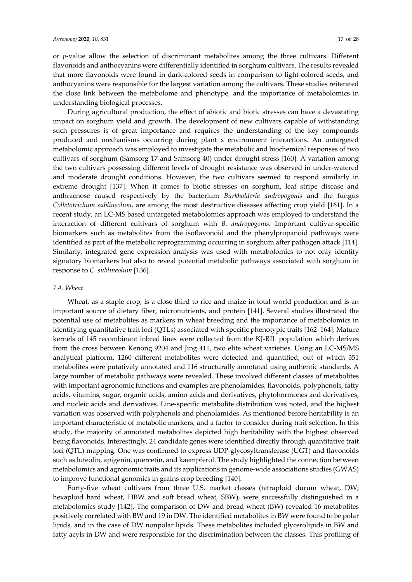or *p*-value allow the selection of discriminant metabolites among the three cultivars. Different flavonoids and anthocyanins were differentially identified in sorghum cultivars. The results revealed that more flavonoids were found in dark‐colored seeds in comparison to light‐colored seeds, and anthocyanins were responsible for the largest variation among the cultivars. These studies reiterated the close link between the metabolome and phenotype, and the importance of metabolomics in understanding biological processes.

During agricultural production, the effect of abiotic and biotic stresses can have a devastating impact on sorghum yield and growth. The development of new cultivars capable of withstanding such pressures is of great importance and requires the understanding of the key compounds produced and mechanisms occurring during plant x environment interactions. An untargeted metabolomic approach was employed to investigate the metabolic and biochemical responses of two cultivars of sorghum (Samsorg 17 and Samsorg 40) under drought stress [160]. A variation among the two cultivars possessing different levels of drought resistance was observed in under‐watered and moderate drought conditions. However, the two cultivars seemed to respond similarly in extreme drought [137]. When it comes to biotic stresses on sorghum, leaf stripe disease and anthracnose caused respectively by the bacterium *Burkholderia andropogonis* and the fungus *Colletotrichum sublineolum,* are among the most destructive diseases affecting crop yield [161]. In a recent study, an LC‐MS based untargeted metabolomics approach was employed to understand the interaction of different cultivars of sorghum with *B. andropogonis*. Important cultivar‐specific biomarkers such as metabolites from the isoflavonoid and the phenylpropanoid pathways were identified as part of the metabolic reprogramming occurring in sorghum after pathogen attack [114]. Similarly, integrated gene expression analysis was used with metabolomics to not only identify signatory biomarkers but also to reveal potential metabolic pathways associated with sorghum in response to *C. sublineolum* [136].

# *7.4. Wheat*

Wheat, as a staple crop, is a close third to rice and maize in total world production and is an important source of dietary fiber, micronutrients, and protein [141]. Several studies illustrated the potential use of metabolites as markers in wheat breeding and the importance of metabolomics in identifying quantitative trait loci (QTLs) associated with specific phenotypic traits [162–164]. Mature kernels of 145 recombinant inbred lines were collected from the KJ‐RIL population which derives from the cross between Kenong 9204 and Jing 411, two elite wheat varieties. Using an LC‐MS/MS analytical platform, 1260 different metabolites were detected and quantified, out of which 351 metabolites were putatively annotated and 116 structurally annotated using authentic standards. A large number of metabolic pathways were revealed. These involved different classes of metabolites with important agronomic functions and examples are phenolamides, flavonoids, polyphenols, fatty acids, vitamins, sugar, organic acids, amino acids and derivatives, phytohormones and derivatives, and nucleic acids and derivatives. Line‐specific metabolite distribution was noted, and the highest variation was observed with polyphenols and phenolamides. As mentioned before heritability is an important characteristic of metabolic markers, and a factor to consider during trait selection. In this study, the majority of annotated metabolites depicted high heritability with the highest observed being flavonoids. Interestingly, 24 candidate genes were identified directly through quantitative trait loci (QTL) mapping. One was confirmed to express UDP‐glycosyltransferase (UGT) and flavonoids such as luteolin, apigenin, quercetin, and kaempferol. The study highlighted the connection between metabolomics and agronomic traits and its applications in genome-wide associations studies (GWAS) to improve functional genomics in grains crop breeding [140].

Forty-five wheat cultivars from three U.S. market classes (tetraploid durum wheat, DW; hexaploid hard wheat, HBW and soft bread wheat, SBW), were successfully distinguished in a metabolomics study [142]. The comparison of DW and bread wheat (BW) revealed 16 metabolites positively correlated with BW and 19 in DW. The identified metabolites in BW were found to be polar lipids, and in the case of DW nonpolar lipids. These metabolites included glycerolipids in BW and fatty acyls in DW and were responsible for the discrimination between the classes. This profiling of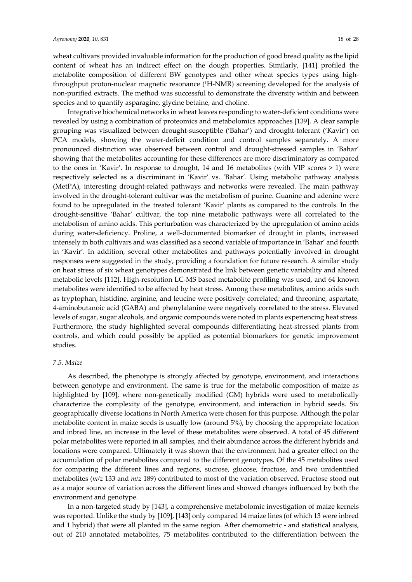wheat cultivars provided invaluable information for the production of good bread quality as the lipid content of wheat has an indirect effect on the dough properties. Similarly, [141] profiled the metabolite composition of different BW genotypes and other wheat species types using highthroughput proton‐nuclear magnetic resonance (1H‐NMR) screening developed for the analysis of non-purified extracts. The method was successful to demonstrate the diversity within and between species and to quantify asparagine, glycine betaine, and choline.

Integrative biochemical networks in wheat leaves responding to water‐deficient conditions were revealed by using a combination of proteomics and metabolomics approaches [139]. A clear sample grouping was visualized between drought-susceptible ('Bahar') and drought-tolerant ('Kavir') on PCA models, showing the water-deficit condition and control samples separately. A more pronounced distinction was observed between control and drought‐stressed samples in 'Bahar' showing that the metabolites accounting for these differences are more discriminatory as compared to the ones in 'Kavir'. In response to drought, 14 and 16 metabolites (with VIP scores > 1) were respectively selected as a discriminant in 'Kavir' vs. 'Bahar'. Using metabolic pathway analysis (MetPA), interesting drought-related pathways and networks were revealed. The main pathway involved in the drought‐tolerant cultivar was the metabolism of purine. Guanine and adenine were found to be upregulated in the treated tolerant 'Kavir' plants as compared to the controls. In the drought‐sensitive 'Bahar' cultivar, the top nine metabolic pathways were all correlated to the metabolism of amino acids. This perturbation was characterized by the upregulation of amino acids during water-deficiency. Proline, a well-documented biomarker of drought in plants, increased intensely in both cultivars and was classified as a second variable of importance in 'Bahar' and fourth in 'Kavir'. In addition, several other metabolites and pathways potentially involved in drought responses were suggested in the study, providing a foundation for future research. A similar study on heat stress of six wheat genotypes demonstrated the link between genetic variability and altered metabolic levels [112]. High‐resolution LC‐MS based metabolite profiling was used, and 64 known metabolites were identified to be affected by heat stress. Among these metabolites, amino acids such as tryptophan, histidine, arginine, and leucine were positively correlated; and threonine, aspartate, 4‐aminobutanoic acid (GABA) and phenylalanine were negatively correlated to the stress. Elevated levels of sugar, sugar alcohols, and organic compounds were noted in plants experiencing heat stress. Furthermore, the study highlighted several compounds differentiating heat‐stressed plants from controls, and which could possibly be applied as potential biomarkers for genetic improvement studies.

## *7.5. Maize*

As described, the phenotype is strongly affected by genotype, environment, and interactions between genotype and environment. The same is true for the metabolic composition of maize as highlighted by [109], where non-genetically modified (GM) hybrids were used to metabolically characterize the complexity of the genotype, environment, and interaction in hybrid seeds. Six geographically diverse locations in North America were chosen for this purpose. Although the polar metabolite content in maize seeds is usually low (around 5%), by choosing the appropriate location and inbred line, an increase in the level of these metabolites were observed. A total of 45 different polar metabolites were reported in all samples, and their abundance across the different hybrids and locations were compared. Ultimately it was shown that the environment had a greater effect on the accumulation of polar metabolites compared to the different genotypes. Of the 45 metabolites used for comparing the different lines and regions, sucrose, glucose, fructose, and two unidentified metabolites (*m/z* 133 and *m/z* 189) contributed to most of the variation observed. Fructose stood out as a major source of variation across the different lines and showed changes influenced by both the environment and genotype.

In a non‐targeted study by [143], a comprehensive metabolomic investigation of maize kernels was reported. Unlike the study by [109], [143] only compared 14 maize lines (of which 13 were inbred and 1 hybrid) that were all planted in the same region. After chemometric ‐ and statistical analysis, out of 210 annotated metabolites, 75 metabolites contributed to the differentiation between the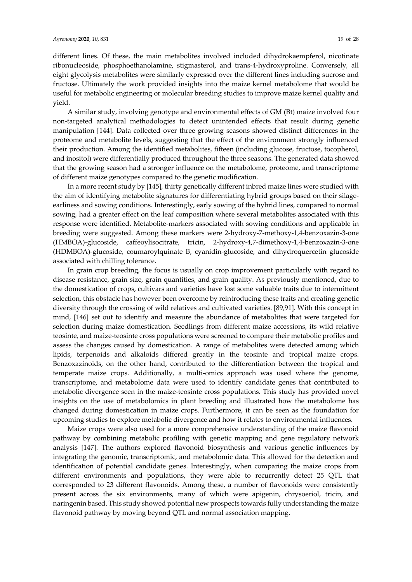different lines. Of these, the main metabolites involved included dihydrokaempferol, nicotinate ribonucleoside, phosphoethanolamine, stigmasterol, and trans‐4‐hydroxyproline. Conversely, all eight glycolysis metabolites were similarly expressed over the different lines including sucrose and fructose. Ultimately the work provided insights into the maize kernel metabolome that would be useful for metabolic engineering or molecular breeding studies to improve maize kernel quality and yield.

A similar study, involving genotype and environmental effects of GM (Bt) maize involved four non‐targeted analytical methodologies to detect unintended effects that result during genetic manipulation [144]. Data collected over three growing seasons showed distinct differences in the proteome and metabolite levels, suggesting that the effect of the environment strongly influenced their production. Among the identified metabolites, fifteen (including glucose, fructose, tocopherol, and inositol) were differentially produced throughout the three seasons. The generated data showed that the growing season had a stronger influence on the metabolome, proteome, and transcriptome of different maize genotypes compared to the genetic modification.

In a more recent study by [145], thirty genetically different inbred maize lines were studied with the aim of identifying metabolite signatures for differentiating hybrid groups based on their silage– earliness and sowing conditions. Interestingly, early sowing of the hybrid lines, compared to normal sowing, had a greater effect on the leaf composition where several metabolites associated with this response were identified. Metabolite‐markers associated with sowing conditions and applicable in breeding were suggested. Among these markers were 2‐hydroxy‐7‐methoxy‐1,4‐benzoxazin‐3‐one (HMBOA)‐glucoside, caffeoylisocitrate, tricin, 2‐hydroxy‐4,7‐dimethoxy‐1,4‐benzoxazin‐3‐one (HDMBOA)‐glucoside, coumaroylquinate B, cyanidin‐glucoside, and dihydroquercetin glucoside associated with chilling tolerance.

In grain crop breeding, the focus is usually on crop improvement particularly with regard to disease resistance, grain size, grain quantities, and grain quality. As previously mentioned, due to the domestication of crops, cultivars and varieties have lost some valuable traits due to intermittent selection, this obstacle has however been overcome by reintroducing these traits and creating genetic diversity through the crossing of wild relatives and cultivated varieties. [89,91]. With this concept in mind, [146] set out to identify and measure the abundance of metabolites that were targeted for selection during maize domestication. Seedlings from different maize accessions, its wild relative teosinte, and maize‐teosinte cross populations were screened to compare their metabolic profiles and assess the changes caused by domestication. A range of metabolites were detected among which lipids, terpenoids and alkaloids differed greatly in the teosinte and tropical maize crops. Benzoxazinoids, on the other hand, contributed to the differentiation between the tropical and temperate maize crops. Additionally, a multi-omics approach was used where the genome, transcriptome, and metabolome data were used to identify candidate genes that contributed to metabolic divergence seen in the maize‐teosinte cross populations. This study has provided novel insights on the use of metabolomics in plant breeding and illustrated how the metabolome has changed during domestication in maize crops. Furthermore, it can be seen as the foundation for upcoming studies to explore metabolic divergence and how it relates to environmental influences.

Maize crops were also used for a more comprehensive understanding of the maize flavonoid pathway by combining metabolic profiling with genetic mapping and gene regulatory network analysis [147]. The authors explored flavonoid biosynthesis and various genetic influences by integrating the genomic, transcriptomic, and metabolomic data. This allowed for the detection and identification of potential candidate genes. Interestingly, when comparing the maize crops from different environments and populations, they were able to recurrently detect 25 QTL that corresponded to 23 different flavonoids. Among these, a number of flavonoids were consistently present across the six environments, many of which were apigenin, chrysoeriol, tricin, and naringenin based. This study showed potential new prospects towards fully understanding the maize flavonoid pathway by moving beyond QTL and normal association mapping.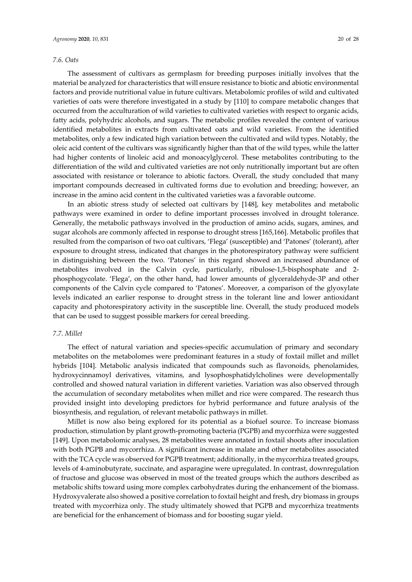#### *7.6. Oats*

The assessment of cultivars as germplasm for breeding purposes initially involves that the material be analyzed for characteristics that will ensure resistance to biotic and abiotic environmental factors and provide nutritional value in future cultivars. Metabolomic profiles of wild and cultivated varieties of oats were therefore investigated in a study by [110] to compare metabolic changes that occurred from the acculturation of wild varieties to cultivated varieties with respect to organic acids, fatty acids, polyhydric alcohols, and sugars. The metabolic profiles revealed the content of various identified metabolites in extracts from cultivated oats and wild varieties. From the identified metabolites, only a few indicated high variation between the cultivated and wild types. Notably, the oleic acid content of the cultivars was significantly higher than that of the wild types, while the latter had higher contents of linoleic acid and monoacylglycerol. These metabolites contributing to the differentiation of the wild and cultivated varieties are not only nutritionally important but are often associated with resistance or tolerance to abiotic factors. Overall, the study concluded that many important compounds decreased in cultivated forms due to evolution and breeding; however, an increase in the amino acid content in the cultivated varieties was a favorable outcome.

In an abiotic stress study of selected oat cultivars by [148], key metabolites and metabolic pathways were examined in order to define important processes involved in drought tolerance. Generally, the metabolic pathways involved in the production of amino acids, sugars, amines, and sugar alcohols are commonly affected in response to drought stress [165,166]. Metabolic profiles that resulted from the comparison of two oat cultivars, 'Flega' (susceptible) and 'Patones' (tolerant), after exposure to drought stress, indicated that changes in the photorespiratory pathway were sufficient in distinguishing between the two. 'Patones' in this regard showed an increased abundance of metabolites involved in the Calvin cycle, particularly, ribulose-1,5-bisphosphate and 2phosphogycolate. 'Flega', on the other hand, had lower amounts of glyceraldehyde‐3P and other components of the Calvin cycle compared to 'Patones'. Moreover, a comparison of the glyoxylate levels indicated an earlier response to drought stress in the tolerant line and lower antioxidant capacity and photorespiratory activity in the susceptible line. Overall, the study produced models that can be used to suggest possible markers for cereal breeding.

#### *7.7. Millet*

The effect of natural variation and species-specific accumulation of primary and secondary metabolites on the metabolomes were predominant features in a study of foxtail millet and millet hybrids [104]. Metabolic analysis indicated that compounds such as flavonoids, phenolamides, hydroxycinnamoyl derivatives, vitamins, and lysophosphatidylcholines were developmentally controlled and showed natural variation in different varieties. Variation was also observed through the accumulation of secondary metabolites when millet and rice were compared. The research thus provided insight into developing predictors for hybrid performance and future analysis of the biosynthesis, and regulation, of relevant metabolic pathways in millet.

Millet is now also being explored for its potential as a biofuel source. To increase biomass production, stimulation by plant growth‐promoting bacteria (PGPB) and mycorrhiza were suggested [149]. Upon metabolomic analyses, 28 metabolites were annotated in foxtail shoots after inoculation with both PGPB and mycorrhiza. A significant increase in malate and other metabolites associated with the TCA cycle was observed for PGPB treatment; additionally, in the mycorrhiza treated groups, levels of 4‐aminobutyrate, succinate, and asparagine were upregulated. In contrast, downregulation of fructose and glucose was observed in most of the treated groups which the authors described as metabolic shifts toward using more complex carbohydrates during the enhancement of the biomass. Hydroxyvalerate also showed a positive correlation to foxtail height and fresh, dry biomass in groups treated with mycorrhiza only. The study ultimately showed that PGPB and mycorrhiza treatments are beneficial for the enhancement of biomass and for boosting sugar yield.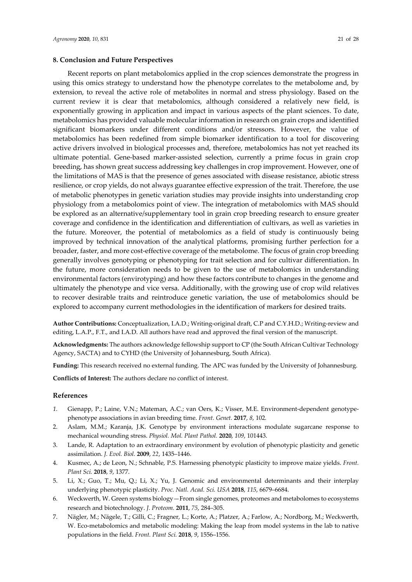### **8. Conclusion and Future Perspectives**

Recent reports on plant metabolomics applied in the crop sciences demonstrate the progress in using this omics strategy to understand how the phenotype correlates to the metabolome and, by extension, to reveal the active role of metabolites in normal and stress physiology. Based on the current review it is clear that metabolomics, although considered a relatively new field, is exponentially growing in application and impact in various aspects of the plant sciences. To date, metabolomics has provided valuable molecular information in research on grain crops and identified significant biomarkers under different conditions and/or stressors. However, the value of metabolomics has been redefined from simple biomarker identification to a tool for discovering active drivers involved in biological processes and, therefore, metabolomics has not yet reached its ultimate potential. Gene‐based marker‐assisted selection, currently a prime focus in grain crop breeding, has shown great success addressing key challenges in crop improvement. However, one of the limitations of MAS is that the presence of genes associated with disease resistance, abiotic stress resilience, or crop yields, do not always guarantee effective expression of the trait. Therefore, the use of metabolic phenotypes in genetic variation studies may provide insights into understanding crop physiology from a metabolomics point of view. The integration of metabolomics with MAS should be explored as an alternative/supplementary tool in grain crop breeding research to ensure greater coverage and confidence in the identification and differentiation of cultivars, as well as varieties in the future. Moreover, the potential of metabolomics as a field of study is continuously being improved by technical innovation of the analytical platforms, promising further perfection for a broader, faster, and more cost‐effective coverage of the metabolome. The focus of grain crop breeding generally involves genotyping or phenotyping for trait selection and for cultivar differentiation. In the future, more consideration needs to be given to the use of metabolomics in understanding environmental factors (envirotyping) and how these factors contribute to changes in the genome and ultimately the phenotype and vice versa. Additionally, with the growing use of crop wild relatives to recover desirable traits and reintroduce genetic variation, the use of metabolomics should be explored to accompany current methodologies in the identification of markers for desired traits.

**Author Contributions:** Conceptualization, I.A.D.; Writing‐original draft, C.P and C.Y.H.D.; Writing‐review and editing, L.A.P., F.T., and I.A.D. All authors have read and approved the final version of the manuscript.

**Acknowledgments:** The authors acknowledge fellowship support to CP (the South African Cultivar Technology Agency, SACTA) and to CYHD (the University of Johannesburg, South Africa).

**Funding:** This research received no external funding. The APC was funded by the University of Johannesburg.

**Conflicts of Interest:** The authors declare no conflict of interest.

## **References**

- 1. Gienapp, P.; Laine, V.N.; Mateman, A.C.; van Oers, K.; Visser, M.E. Environment-dependent genotypephenotype associations in avian breeding time. *Front. Genet.* **2017**, *8*, 102*.*
- 2. Aslam, M.M.; Karanja, J.K. Genotype by environment interactions modulate sugarcane response to mechanical wounding stress. *Physiol. Mol. Plant Pathol.* **2020**, *109*, 101443.
- 3. Lande, R. Adaptation to an extraordinary environment by evolution of phenotypic plasticity and genetic assimilation. *J. Evol. Biol.* **2009**, *22*, 1435–1446.
- 4. Kusmec, A.; de Leon, N.; Schnable, P.S. Harnessing phenotypic plasticity to improve maize yields. *Front. Plant Sci.* **2018**, *9*, 1377.
- 5. Li, X.; Guo, T.; Mu, Q.; Li, X.; Yu, J. Genomic and environmental determinants and their interplay underlying phenotypic plasticity. *Proc. Natl. Acad. Sci. USA* **2018**, *115*, 6679–6684.
- 6. Weckwerth, W. Green systems biology—From single genomes, proteomes and metabolomes to ecosystems research and biotechnology. *J. Proteom.* **2011**, *75*, 284–305.
- 7. Nägler, M.; Nägele, T.; Gilli, C.; Fragner, L.; Korte, A.; Platzer, A.; Farlow, A.; Nordborg, M.; Weckwerth, W. Eco-metabolomics and metabolic modeling: Making the leap from model systems in the lab to native populations in the field. *Front. Plant Sci.* **2018**, *9*, 1556–1556.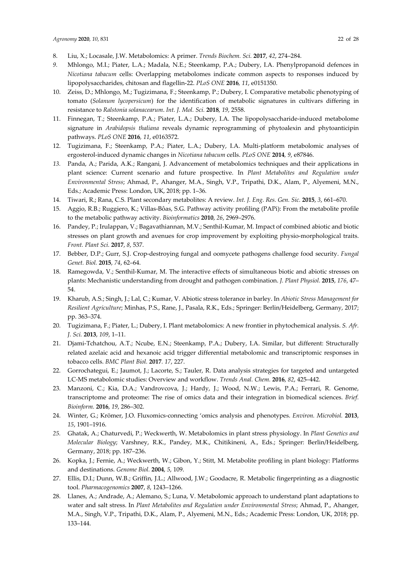- 8. Liu, X.; Locasale, J.W. Metabolomics: A primer. *Trends Biochem. Sci.* **2017**, *42*, 274–284.
- *9.* Mhlongo, M.I.; Piater, L.A.; Madala, N.E.; Steenkamp, P.A.; Dubery, I.A. Phenylpropanoid defences in *Nicotiana tabacum* cells: Overlapping metabolomes indicate common aspects to responses induced by lipopolysaccharides, chitosan and flagellin‐22. *PLoS ONE* **2016***, 11*, e0151350.
- 10. Zeiss, D.; Mhlongo, M.; Tugizimana, F.; Steenkamp, P.; Dubery, I. Comparative metabolic phenotyping of tomato (*Solanum lycopersicum*) for the identification of metabolic signatures in cultivars differing in resistance to *Ralstonia solanacearum*. *Int. J. Mol. Sci.* **2018**, *19*, 2558.
- 11. Finnegan, T.; Steenkamp, P.A.; Piater, L.A.; Dubery, I.A. The lipopolysaccharide-induced metabolome signature in *Arabidopsis thaliana* reveals dynamic reprogramming of phytoalexin and phytoanticipin pathways. *PLoS ONE* **2016***, 11*, e0163572.
- 12. Tugizimana, F.; Steenkamp, P.A.; Piater, L.A.; Dubery, I.A. Multi-platform metabolomic analyses of ergosterol‐induced dynamic changes in *Nicotiana tabacum* cells. *PLoS ONE* **2014***, 9*, e87846.
- *13.* Panda, A.; Parida, A.K.; Rangani, J. Advancement of metabolomics techniques and their applications in plant science: Current scenario and future prospective. In *Plant Metabolites and Regulation under Environmental Stress*; Ahmad, P., Ahanger, M.A., Singh, V.P., Tripathi, D.K., Alam, P., Alyemeni, M.N., Eds.; Academic Press: London, UK, 2018; pp. 1–36.
- 14. Tiwari, R.; Rana, C.S. Plant secondary metabolites: A review. *Int. J. Eng. Res. Gen. Sic.* **2015**, *3*, 661–670.
- 15. Aggio, R.B.; Ruggiero, K.; Villas‐Bôas, S.G. Pathway activity profiling (PAPi): From the metabolite profile to the metabolic pathway activity. *Bioinformatics* **2010**, *26*, 2969–2976.
- 16. Pandey, P.; Irulappan, V.; Bagavathiannan, M.V.; Senthil‐Kumar, M. Impact of combined abiotic and biotic stresses on plant growth and avenues for crop improvement by exploiting physio-morphological traits. *Front. Plant Sci.* **2017**, *8*, 537.
- 17. Bebber, D.P.; Gurr, S.J. Crop‐destroying fungal and oomycete pathogens challenge food security. *Fungal Genet. Biol.* **2015**, *74*, 62–64.
- 18. Ramegowda, V.; Senthil‐Kumar, M. The interactive effects of simultaneous biotic and abiotic stresses on plants: Mechanistic understanding from drought and pathogen combination. *J. Plant Physiol.* **2015**, *176*, 47– 54.
- 19. Kharub, A.S.; Singh, J.; Lal, C.; Kumar, V. Abiotic stress tolerance in barley. In *Abiotic Stress Management for Resilient Agriculture*; Minhas, P.S., Rane, J., Pasala, R.K., Eds.; Springer: Berlin/Heidelberg, Germany, 2017; pp. 363–374.
- 20. Tugizimana, F.; Piater, L.; Dubery, I. Plant metabolomics: A new frontier in phytochemical analysis. *S. Afr. J. Sci.* **2013**, *109*, 1–11.
- 21. Djami‐Tchatchou, A.T.; Ncube, E.N.; Steenkamp, P.A.; Dubery, I.A. Similar, but different: Structurally related azelaic acid and hexanoic acid trigger differential metabolomic and transcriptomic responses in tobacco cells. *BMC Plant Biol.* **2017***. 17*, 227.
- 22. Gorrochategui, E.; Jaumot, J.; Lacorte, S.; Tauler, R. Data analysis strategies for targeted and untargeted LC‐MS metabolomic studies: Overview and workflow. *Trends Anal. Chem.* **2016**, *82*, 425–442.
- 23. Manzoni, C.; Kia, D.A.; Vandrovcova, J.; Hardy, J.; Wood, N.W.; Lewis, P.A.; Ferrari, R. Genome, transcriptome and proteome: The rise of omics data and their integration in biomedical sciences. *Brief. Bioinform.* **2016**, *19*, 286–302.
- 24. Winter, G.; Krömer, J.O. Fluxomics‐connecting 'omics analysis and phenotypes. *Environ. Microbiol.* **2013**, *15*, 1901–1916.
- *25.* Ghatak, A.; Chaturvedi, P.; Weckwerth, W. Metabolomics in plant stress physiology. In *Plant Genetics and Molecular Biology*; Varshney, R.K., Pandey, M.K., Chitikineni, A., Eds.; Springer: Berlin/Heidelberg, Germany, 2018; pp. 187–236.
- 26. Kopka, J.; Fernie, A.; Weckwerth, W.; Gibon, Y.; Stitt, M. Metabolite profiling in plant biology: Platforms and destinations. *Genome Biol.* **2004**, *5*, 109.
- 27. Ellis, D.I.; Dunn, W.B.; Griffin, J.L.; Allwood, J.W.; Goodacre, R. Metabolic fingerprinting as a diagnostic tool. *Pharmacogenomics* **2007**, *8*, 1243–1266.
- 28. Llanes, A.; Andrade, A.; Alemano, S.; Luna, V. Metabolomic approach to understand plant adaptations to water and salt stress. In *Plant Metabolites and Regulation under Environmental Stress*; Ahmad, P., Ahanger, M.A., Singh, V.P., Tripathi, D.K., Alam, P., Alyemeni, M.N., Eds.; Academic Press: London, UK, 2018; pp. 133–144.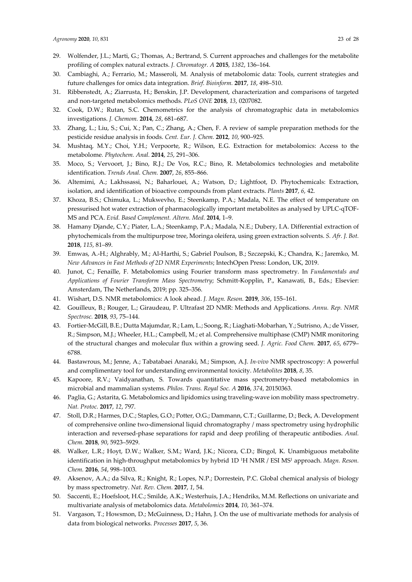- 29. Wolfender, J.L.; Marti, G.; Thomas, A.; Bertrand, S. Current approaches and challenges for the metabolite profiling of complex natural extracts. *J. Chromatogr. A* **2015**, *1382*, 136–164.
- 30. Cambiaghi, A.; Ferrario, M.; Masseroli, M. Analysis of metabolomic data: Tools, current strategies and future challenges for omics data integration. *Brief. Bioinform.* **2017**, *18*, 498–510.
- 31. Ribbenstedt, A.; Ziarrusta, H.; Benskin, J.P. Development, characterization and comparisons of targeted and non‐targeted metabolomics methods. *PLoS ONE* **2018**, *13*, 0207082.
- 32. Cook, D.W.; Rutan, S.C. Chemometrics for the analysis of chromatographic data in metabolomics investigations. *J. Chemom.* **2014**, *28*, 681–687.
- 33. Zhang, L.; Liu, S.; Cui, X.; Pan, C.; Zhang, A.; Chen, F. A review of sample preparation methods for the pesticide residue analysis in foods. *Cent. Eur. J. Chem.* **2012**, *10*, 900–925.
- 34. Mushtaq, M.Y.; Choi, Y.H.; Verpoorte, R.; Wilson, E.G. Extraction for metabolomics: Access to the metabolome*. Phytochem. Anal.* **2014**, *25*, 291–306.
- 35. Moco, S.; Vervoort, J.; Bino, R.J.; De Vos, R.C.; Bino, R. Metabolomics technologies and metabolite identification. *Trends Anal. Chem.* **2007**, *26*, 855–866.
- 36. Altemimi, A.; Lakhssassi, N.; Baharlouei, A.; Watson, D.; Lightfoot, D. Phytochemicals: Extraction, isolation, and identification of bioactive compounds from plant extracts. *Plants* **2017**, *6*, 42.
- 37. Khoza, B.S.; Chimuka, L.; Mukwevho, E.; Steenkamp, P.A.; Madala, N.E. The effect of temperature on pressurised hot water extraction of pharmacologically important metabolites as analysed by UPLC‐qTOF‐ MS and PCA. *Evid. Based Complement. Altern. Med.* **2014**, 1–9.
- 38. Hamany Djande, C.Y.; Piater, L.A.; Steenkamp, P.A.; Madala, N.E.; Dubery, I.A. Differential extraction of phytochemicals from the multipurpose tree, Moringa oleifera, using green extraction solvents. *S. Afr. J. Bot.* **2018**, *115*, 81–89.
- 39. Emwas, A.‐H.; Alghrably, M.; Al‐Harthi, S.; Gabriel Poulson, B.; Szczepski, K.; Chandra, K.; Jaremko, M. *New Advances in Fast Methods of 2D NMR Experiments*; IntechOpen Press: London, UK, 2019.
- 40. Junot, C.; Fenaille, F. Metabolomics using Fourier transform mass spectrometry. In *Fundamentals and Applications of Fourier Transform Mass Spectrometry*; Schmitt‐Kopplin, P., Kanawati, B., Eds.; Elsevier: Amsterdam, The Netherlands, 2019; pp. 325–356.
- 41. Wishart, D.S. NMR metabolomics: A look ahead. *J. Magn. Reson.* **2019**, *306*, 155–161.
- 42. Gouilleux, B.; Rouger, L.; Giraudeau, P. Ultrafast 2D NMR: Methods and Applications. *Annu. Rep. NMR Spectrosc.* **2018**, *93*, 75–144.
- 43. Fortier‐McGill, B.E.; Dutta Majumdar, R.; Lam, L.; Soong, R.; Liaghati‐Mobarhan, Y.; Sutrisno, A.; de Visser, R.; Simpson, M.J.; Wheeler, H.L.; Campbell, M.; et al. Comprehensive multiphase (CMP) NMR monitoring of the structural changes and molecular flux within a growing seed. *J. Agric. Food Chem.* **2017**, *65*, 6779– 6788.
- 44. Bastawrous, M.; Jenne, A.; Tabatabaei Anaraki, M.; Simpson, A.J. *In‐vivo* NMR spectroscopy: A powerful and complimentary tool for understanding environmental toxicity. *Metabolites* **2018**, *8*, 35.
- 45. Kapoore, R.V.; Vaidyanathan, S. Towards quantitative mass spectrometry-based metabolomics in microbial and mammalian systems. *Philos. Trans. Royal Soc. A* **2016**, *374*, 20150363.
- 46. Paglia, G.; Astarita, G. Metabolomics and lipidomics using traveling‐wave ion mobility mass spectrometry. *Nat. Protoc.* **2017**, *12*, 797.
- 47. Stoll, D.R.; Harmes, D.C.; Staples, G.O.; Potter, O.G.; Dammann, C.T.; Guillarme, D.; Beck, A. Development of comprehensive online two‐dimensional liquid chromatography / mass spectrometry using hydrophilic interaction and reversed‐phase separations for rapid and deep profiling of therapeutic antibodies. *Anal. Chem.* **2018**, *90*, 5923–5929.
- 48. Walker, L.R.; Hoyt, D.W.; Walker, S.M.; Ward, J.K.; Nicora, C.D.; Bingol, K. Unambiguous metabolite identification in high‐throughput metabolomics by hybrid 1D 1H NMR / ESI MS1 approach. *Magn. Reson. Chem.* **2016**, *54*, 998–1003.
- 49. Aksenov, A.A.; da Silva, R.; Knight, R.; Lopes, N.P.; Dorrestein, P.C. Global chemical analysis of biology by mass spectrometry. *Nat. Rev. Chem.* **2017**, *1*, 54.
- 50. Saccenti, E.; Hoefsloot, H.C.; Smilde, A.K.; Westerhuis, J.A.; Hendriks, M.M. Reflections on univariate and multivariate analysis of metabolomics data. *Metabolomics* **2014**, *10*, 361–374.
- 51. Vargason, T.; Howsmon, D.; McGuinness, D.; Hahn, J. On the use of multivariate methods for analysis of data from biological networks. *Processes* **2017**, *5*, 36.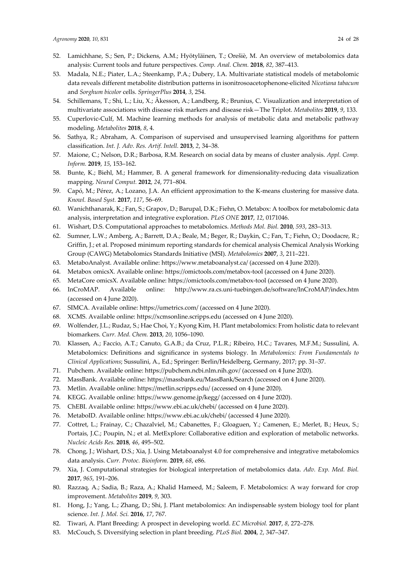- 52. Lamichhane, S.; Sen, P.; Dickens, A.M.; Hyötyläinen, T.; Orešiè, M. An overview of metabolomics data analysis: Current tools and future perspectives. *Comp. Anal. Chem.* **2018**, *82*, 387–413.
- 53. Madala, N.E.; Piater, L.A.; Steenkamp, P.A.; Dubery, I.A. Multivariate statistical models of metabolomic data reveals different metabolite distribution patterns in isonitrosoacetophenone‐elicited *Nicotiana tabacum* and *Sorghum bicolor* cells. *SpringerPlus* **2014**, *3*, 254.
- 54. Schillemans, T.; Shi, L.; Liu, X.; Åkesson, A.; Landberg, R.; Brunius, C. Visualization and interpretation of multivariate associations with disease risk markers and disease risk—The Triplot. *Metabolites* **2019**, *9*, 133.
- 55. Cuperlovic‐Culf, M. Machine learning methods for analysis of metabolic data and metabolic pathway modeling. *Metabolites* **2018**, *8*, 4.
- 56. Sathya, R.; Abraham, A. Comparison of supervised and unsupervised learning algorithms for pattern classification. *Int. J. Adv. Res. Artif. Intell.* **2013**, *2*, 34–38.
- 57. Maione, C.; Nelson, D.R.; Barbosa, R.M. Research on social data by means of cluster analysis. *Appl. Comp. Inform.* **2019**, *15*, 153–162.
- 58. Bunte, K.; Biehl, M.; Hammer, B. A general framework for dimensionality-reducing data visualization mapping. *Neural Comput.* **2012**, *24*, 771–804.
- 59. Capó, M.; Pérez, A.; Lozano, J.A. An efficient approximation to the K-means clustering for massive data. *Knowl. Based Syst.* **2017**, *117*, 56–69.
- 60. Wanichthanarak, K.; Fan, S.; Grapov, D.; Barupal, D.K.; Fiehn, O. Metabox: A toolbox for metabolomic data analysis, interpretation and integrative exploration. *PLoS ONE* **2017**, *12*, 0171046.
- 61. Wishart, D.S. Computational approaches to metabolomics. *Methods Mol. Biol.* **2010**, *593*, 283–313.
- 62. Sumner, L.W.; Amberg, A.; Barrett, D.A.; Beale, M.; Beger, R.; Daykin, C.; Fan, T.; Fiehn, O.; Doodacre, R.; Griffin, J.; et al. Proposed minimum reporting standards for chemical analysis Chemical Analysis Working Group (CAWG) Metabolomics Standards Initiative (MSI). *Metabolomics* **2007**, *3*, 211–221.
- 63. MetaboAnalyst. Available online: https://www.metaboanalyst.ca/ (accessed on 4 June 2020).
- 64. Metabox omicsX. Available online: https://omictools.com/metabox‐tool (accessed on 4 June 2020).
- 65. MetaCore omicsX. Available online: https://omictools.com/metabox‐tool (accessed on 4 June 2020).
- 66. InCroMAP. Available online: http://www.ra.cs.uni‐tuebingen.de/software/InCroMAP/index.htm (accessed on 4 June 2020).
- 67. SIMCA. Available online: https://umetrics.com/ (accessed on 4 June 2020).
- 68. XCMS. Available online: https://xcmsonline.scripps.edu (accessed on 4 June 2020).
- 69. Wolfender, J.L.; Rudaz, S.; Hae Choi, Y.; Kyong Kim, H. Plant metabolomics: From holistic data to relevant biomarkers. *Curr. Med. Chem.* **2013**, *20*, 1056–1090.
- 70. Klassen, A.; Faccio, A.T.; Canuto, G.A.B.; da Cruz, P.L.R.; Ribeiro, H.C.; Tavares, M.F.M.; Sussulini, A. Metabolomics: Definitions and significance in systems biology. In *Metabolomics: From Fundamentals to Clinical Applications*; Sussulini, A., Ed.; Springer: Berlin/Heidelberg, Germany, 2017; pp. 31–37.
- 71. Pubchem. Available online: https://pubchem.ncbi.nlm.nih.gov/ (accessed on 4 June 2020).
- 72. MassBank. Available online: https://massbank.eu/MassBank/Search (accessed on 4 June 2020).
- 73. Metlin. Available online: https://metlin.scripps.edu/ (accessed on 4 June 2020).
- 74. KEGG. Available online: https://www.genome.jp/kegg/ (accessed on 4 June 2020).
- 75. ChEBI. Available online: https://www.ebi.ac.uk/chebi/ (accessed on 4 June 2020).
- 76. MetaboID. Available online: https://www.ebi.ac.uk/chebi/ (accessed 4 June 2020).
- 77. Cottret, L.; Frainay, C.; Chazalviel, M.; Cabanettes, F.; Gloaguen, Y.; Camenen, E.; Merlet, B.; Heux, S.; Portais, J.C.; Poupin, N.; et al. MetExplore: Collaborative edition and exploration of metabolic networks. *Nucleic Acids Res.* **2018**, *46*, 495–502.
- 78. Chong, J.; Wishart, D.S.; Xia, J. Using Metaboanalyst 4.0 for comprehensive and integrative metabolomics data analysis. *Curr. Protoc. Bioinform.* **2019**, *68*, e86.
- 79. Xia, J. Computational strategies for biological interpretation of metabolomics data. *Adv. Exp. Med. Biol.* **2017**, *965*, 191–206.
- 80. Razzaq, A.; Sadia, B.; Raza, A.; Khalid Hameed, M.; Saleem, F. Metabolomics: A way forward for crop improvement. *Metabolites* **2019**, *9*, 303.
- 81. Hong, J.; Yang, L.; Zhang, D.; Shi, J. Plant metabolomics: An indispensable system biology tool for plant science. *Int. J. Mol. Sci.* **2016**, *17*, 767.
- 82. Tiwari, A. Plant Breeding: A prospect in developing world. *EC Microbiol.* **2017**, *8*, 272–278.
- 83. McCouch, S. Diversifying selection in plant breeding. *PLoS Biol.* **2004**, *2*, 347–347.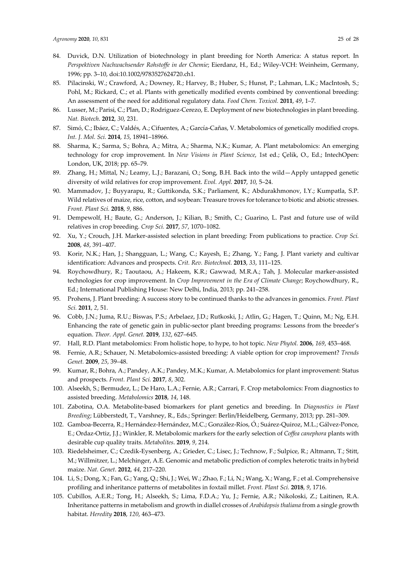- 84. Duvick, D.N. Utilization of biotechnology in plant breeding for North America: A status report. In *Perspektiven Nachwachsender Rohstoffe in der Chemie*; Eierdanz, H., Ed.; Wiley‐VCH: Weinheim, Germany, 1996; pp. 3–10, doi:10.1002/9783527624720.ch1.
- 85. Pilacinski, W.; Crawford, A.; Downey, R.; Harvey, B.; Huber, S.; Hunst, P.; Lahman, L.K.; MacIntosh, S.; Pohl, M.; Rickard, C.; et al. Plants with genetically modified events combined by conventional breeding: An assessment of the need for additional regulatory data. *Food Chem. Toxicol.* **2011**, *49*, 1–7.
- 86. Lusser, M.; Parisi, C.; Plan, D.; Rodriguez-Cerezo, E. Deployment of new biotechnologies in plant breeding. *Nat. Biotech*. **2012**, *30*, 231.
- 87. Simó, C.; Ibáez, C.; Valdés, A.; Cifuentes, A.; García-Cañas, V. Metabolomics of genetically modified crops. *Int. J. Mol. Sci.* **2014**, *15*, 18941–18966.
- 88. Sharma, K.; Sarma, S.; Bohra, A.; Mitra, A.; Sharma, N.K.; Kumar, A. Plant metabolomics: An emerging technology for crop improvement. In *New Visions in Plant Science*, 1st ed.; Çelik, O., Ed.; IntechOpen: London, UK, 2018; pp. 65–79.
- 89. Zhang, H.; Mittal, N.; Leamy, L.J.; Barazani, O.; Song, B.H. Back into the wild—Apply untapped genetic diversity of wild relatives for crop improvement. *Evol. Appl.* **2017**, *10*, 5–24.
- 90. Mammadov, J.; Buyyarapu, R.; Guttikonda, S.K.; Parliament, K.; Abdurakhmonov, I.Y.; Kumpatla, S.P. Wild relatives of maize, rice, cotton, and soybean: Treasure troves for tolerance to biotic and abiotic stresses. *Front. Plant Sci.* **2018**, *9*, 886.
- 91. Dempewolf, H.; Baute, G.; Anderson, J.; Kilian, B.; Smith, C.; Guarino, L. Past and future use of wild relatives in crop breeding. *Crop Sci.* **2017**, *57*, 1070–1082.
- 92. Xu, Y.; Crouch, J.H. Marker‐assisted selection in plant breeding: From publications to practice. *Crop Sci.* **2008**, *48*, 391–407.
- 93. Korir, N.K.; Han, J.; Shangguan, L.; Wang, C.; Kayesh, E.; Zhang, Y.; Fang, J. Plant variety and cultivar identification: Advances and prospects. *Crit. Rev. Biotechnol.* **2013**, *33*, 111–125.
- 94. Roychowdhury, R.; Taoutaou, A.; Hakeem, K.R.; Gawwad, M.R.A.; Tah, J. Molecular marker‐assisted technologies for crop improvement. In *Crop Improvement in the Era of Climate Change*; Roychowdhury, R., Ed.; International Publishing House: New Delhi, India, 2013; pp. 241–258.
- 95. Prohens, J. Plant breeding: A success story to be continued thanks to the advances in genomics. *Front. Plant Sci.* **2011**, *2*, 51.
- 96. Cobb, J.N.; Juma, R.U.; Biswas, P.S.; Arbelaez, J.D.; Rutkoski, J.; Atlin, G.; Hagen, T.; Quinn, M.; Ng, E.H. Enhancing the rate of genetic gain in public‐sector plant breeding programs: Lessons from the breeder's equation. *Theor. Appl. Genet.* **2019**, *132*, 627–645.
- 97. Hall, R.D. Plant metabolomics: From holistic hope, to hype, to hot topic. *New Phytol.* **2006**, *169*, 453–468.
- 98. Fernie, A.R.; Schauer, N. Metabolomics‐assisted breeding: A viable option for crop improvement? *Trends Genet.* **2009**, *25*, 39–48.
- 99. Kumar, R.; Bohra, A.; Pandey, A.K.; Pandey, M.K.; Kumar, A. Metabolomics for plant improvement: Status and prospects. *Front. Plant Sci.* **2017**, *8*, 302.
- 100. Alseekh, S.; Bermudez, L.; De Haro, L.A.; Fernie, A.R.; Carrari, F. Crop metabolomics: From diagnostics to assisted breeding. *Metabolomics* **2018**, *14*, 148.
- 101. Zabotina, O.A. Metabolite‐based biomarkers for plant genetics and breeding. In *Diagnostics in Plant Breeding*; Lübberstedt, T., Varshney, R., Eds.; Springer: Berlin/Heidelberg, Germany, 2013; pp. 281–309.
- 102. Gamboa‐Becerra, R.; Hernández‐Hernández, M.C.; González‐Ríos, Ó.; Suárez‐Quiroz, M.L.; Gálvez‐Ponce, E.; Ordaz‐Ortiz, J.J.; Winkler, R. Metabolomic markers for the early selection of *Coffea canephora* plants with desirable cup quality traits. *Metabolites*. **2019**, *9*, 214.
- 103. Riedelsheimer, C.; Czedik‐Eysenberg, A.; Grieder, C.; Lisec, J.; Technow, F.; Sulpice, R.; Altmann, T.; Stitt, M.; Willmitzer, L.; Melchinger, A.E. Genomic and metabolic prediction of complex heterotic traits in hybrid maize. *Nat. Genet*. **2012**, *44*, 217–220.
- 104. Li, S.; Dong, X.; Fan, G.; Yang, Q.; Shi, J.; Wei, W.; Zhao, F.; Li, N.; Wang, X.; Wang, F.; et al. Comprehensive profiling and inheritance patterns of metabolites in foxtail millet. *Front. Plant Sci.* **2018**, *9*, 1716.
- 105. Cubillos, A.E.R.; Tong, H.; Alseekh, S.; Lima, F.D.A.; Yu, J.; Fernie, A.R.; Nikoloski, Z.; Laitinen, R.A. Inheritance patterns in metabolism and growth in diallel crosses of *Arabidopsis thaliana* from a single growth habitat. *Heredity* **2018**, *120*, 463–473.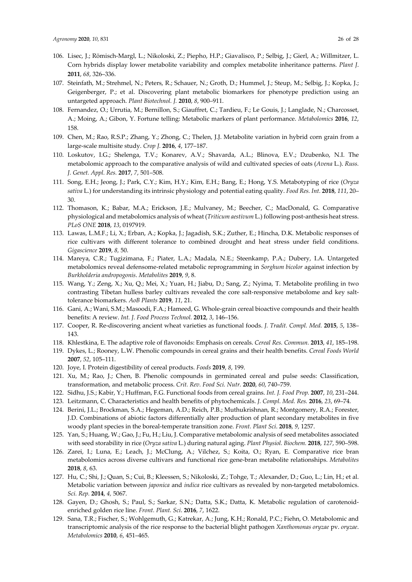- 107. Steinfath, M.; Strehmel, N.; Peters, R.; Schauer, N.; Groth, D.; Hummel, J.; Steup, M.; Selbig, J.; Kopka, J.; Geigenberger, P.; et al. Discovering plant metabolic biomarkers for phenotype prediction using an untargeted approach. *Plant Biotechnol. J.* **2010**, *8*, 900–911.
- 108. Fernandez, O.; Urrutia, M.; Bernillon, S.; Giauffret, C.; Tardieu, F.; Le Gouis, J.; Langlade, N.; Charcosset, A.; Moing, A.; Gibon, Y. Fortune telling: Metabolic markers of plant performance. *Metabolomics* **2016**, *12*, 158.
- 109. Chen, M.; Rao, R.S.P.; Zhang, Y.; Zhong, C.; Thelen, J.J. Metabolite variation in hybrid corn grain from a large‐scale multisite study. *Crop J.* **2016**, *4*, 177–187.
- 110. Loskutov, I.G.; Shelenga, T.V.; Konarev, A.V.; Shavarda, A.L.; Blinova, E.V.; Dzubenko, N.I. The metabolomic approach to the comparative analysis of wild and cultivated species of oats (*Avena* L.). *Russ. J. Genet. Appl. Res.* **2017**, *7*, 501–508.
- 111. Song, E.H.; Jeong, J.; Park, C.Y.; Kim, H.Y.; Kim, E.H.; Bang, E.; Hong, Y.S. Metabotyping of rice (*Oryza sativa* L.) for understanding its intrinsic physiology and potential eating quality. *Food Res. Int.* **2018**, *111*, 20– 30.
- 112. Thomason, K.; Babar, M.A.; Erickson, J.E.; Mulvaney, M.; Beecher, C.; MacDonald, G. Comparative physiological and metabolomics analysis of wheat (*Triticum aestivum* L.) following post‐anthesis heat stress. *PLoS ONE* **2018**, *13*, 0197919.
- 113. Lawas, L.M.F.; Li, X.; Erban, A.; Kopka, J.; Jagadish, S.K.; Zuther, E.; Hincha, D.K. Metabolic responses of rice cultivars with different tolerance to combined drought and heat stress under field conditions. *Gigascience* **2019**, *8,* 50.
- 114. Mareya, C.R.; Tugizimana, F.; Piater, L.A.; Madala, N.E.; Steenkamp, P.A.; Dubery, I.A. Untargeted metabolomics reveal defensome‐related metabolic reprogramming in *Sorghum bicolor* against infection by *Burkholderia andropogonis*. *Metabolites* **2019**, *9*, 8.
- 115. Wang, Y.; Zeng, X.; Xu, Q.; Mei, X.; Yuan, H.; Jiabu, D.; Sang, Z.; Nyima, T. Metabolite profiling in two contrasting Tibetan hulless barley cultivars revealed the core salt-responsive metabolome and key salttolerance biomarkers. *AoB Plants* **2019**, *11*, 21.
- 116. Gani, A.; Wani, S.M.; Masoodi, F.A.; Hameed, G. Whole‐grain cereal bioactive compounds and their health benefits: A review. *Int. J. Food Process Technol.* **2012**, *3*, 146–156.
- 117. Cooper, R. Re‐discovering ancient wheat varieties as functional foods. *J. Tradit. Compl. Med.* **2015**, *5*, 138– 143.
- 118. Khlestkina, E. The adaptive role of flavonoids: Emphasis on cereals. *Cereal Res. Commun.* **2013**, *41*, 185–198.
- 119. Dykes, L.; Rooney, L.W. Phenolic compounds in cereal grains and their health benefits. *Cereal Foods World* **2007**, *52*, 105–111.
- 120. Joye, I. Protein digestibility of cereal products. *Foods* **2019**, *8*, 199.
- 121. Xu, M.; Rao, J.; Chen, B. Phenolic compounds in germinated cereal and pulse seeds: Classification, transformation, and metabolic process. *Crit. Rev. Food Sci. Nutr.* **2020**, *60*, 740–759.
- 122. Sidhu, J.S.; Kabir, Y.; Huffman, F.G. Functional foods from cereal grains. *Int. J. Food Prop.* **2007**, *10*, 231–244.
- 123. Leitzmann, C. Characteristics and health benefits of phytochemicals. *J. Compl. Med. Res.* **2016**, *23*, 69–74.
- 124. Berini, J.L.; Brockman, S.A.; Hegeman, A.D.; Reich, P.B.; Muthukrishnan, R.; Montgomery, R.A.; Forester, J.D. Combinations of abiotic factors differentially alter production of plant secondary metabolites in five woody plant species in the boreal‐temperate transition zone. *Front. Plant Sci*. **2018**, *9*, 1257.
- 125. Yan, S.; Huang, W.; Gao, J.; Fu, H.; Liu, J. Comparative metabolomic analysis of seed metabolites associated with seed storability in rice (*Oryza sativa* L.) during natural aging. *Plant Physiol. Biochem.* **2018**, *127*, 590–598.
- 126. Zarei, I.; Luna, E.; Leach, J.; McClung, A.; Vilchez, S.; Koita, O.; Ryan, E. Comparative rice bran metabolomics across diverse cultivars and functional rice gene‐bran metabolite relationships. *Metabolites* **2018**, *8*, 63.
- 127. Hu, C.; Shi, J.; Quan, S.; Cui, B.; Kleessen, S.; Nikoloski, Z.; Tohge, T.; Alexander, D.; Guo, L.; Lin, H.; et al. Metabolic variation between *japonica* and *indica* rice cultivars as revealed by non-targeted metabolomics. *Sci. Rep.* **2014**, *4,* 5067.
- 128. Gayen, D.; Ghosh, S.; Paul, S.; Sarkar, S.N.; Datta, S.K.; Datta, K. Metabolic regulation of carotenoid‐ enriched golden rice line. *Front. Plant. Sci*. **2016**, *7*, 1622.
- 129. Sana, T.R.; Fischer, S.; Wohlgemuth, G.; Katrekar, A.; Jung, K.H.; Ronald, P.C.; Fiehn, O. Metabolomic and transcriptomic analysis of the rice response to the bacterial blight pathogen *Xanthomonas oryzae* pv. *oryzae*. *Metabolomics* **2010**, *6*, 451–465.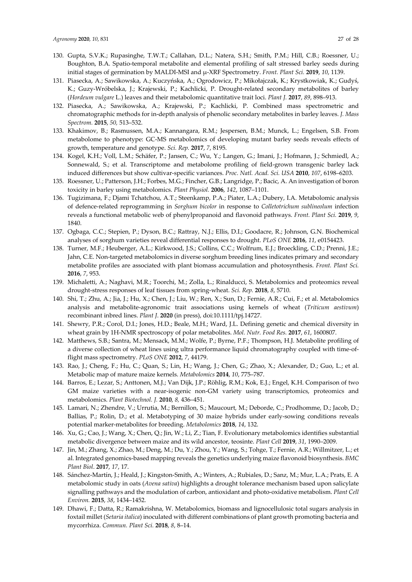- 130. Gupta, S.V.K.; Rupasinghe, T.W.T.; Callahan, D.L.; Natera, S.H.; Smith, P.M.; Hill, C.B.; Roessner, U.; Boughton, B.A. Spatio‐temporal metabolite and elemental profiling of salt stressed barley seeds during initial stages of germination by MALDI‐MSI and μ‐XRF Spectrometry. *Front. Plant Sci.* **2019**, *10*, 1139.
- 131. Piasecka, A.; Sawikowska, A.; Kuczyńska, A.; Ogrodowicz, P.; Mikołajczak, K.; Krystkowiak, K.; Gudyś, K.; Guzy‐Wróbelska, J.; Krajewski, P.; Kachlicki, P. Drought‐related secondary metabolites of barley (*Hordeum vulgare* L.) leaves and their metabolomic quantitative trait loci. *Plant J.* **2017**, *89*, 898–913.
- 132. Piasecka, A.; Sawikowska, A.; Krajewski, P.; Kachlicki, P. Combined mass spectrometric and chromatographic methods for in‐depth analysis of phenolic secondary metabolites in barley leaves. *J. Mass Spectrom.* **2015**, *50,* 513–532.
- 133. Khakimov, B.; Rasmussen, M.A.; Kannangara, R.M.; Jespersen, B.M.; Munck, L.; Engelsen, S.B. From metabolome to phenotype: GC‐MS metabolomics of developing mutant barley seeds reveals effects of growth, temperature and genotype. *Sci. Rep.* **2017**, *7*, 8195.
- 134. Kogel, K.H.; Voll, L.M.; Schäfer, P.; Jansen, C.; Wu, Y.; Langen, G.; Imani, J.; Hofmann, J.; Schmiedl, A.; Sonnewald, S.; et al. Transcriptome and metabolome profiling of field‐grown transgenic barley lack induced differences but show cultivar‐specific variances. *Proc. Natl. Acad. Sci. USA* **2010**, *107*, 6198–6203.
- 135. Roessner, U.; Patterson, J.H.; Forbes, M.G.; Fincher, G.B.; Langridge, P.; Bacic, A. An investigation of boron toxicity in barley using metabolomics. *Plant Physiol.* **2006**, *142*, 1087–1101.
- 136. Tugizimana, F.; Djami Tchatchou, A.T.; Steenkamp, P.A.; Piater, L.A.; Dubery, I.A. Metabolomic analysis of defence‐related reprogramming in *Sorghum bicolor* in response to *Colletotrichum sublineolum* infection reveals a functional metabolic web of phenylpropanoid and flavonoid pathways. *Front. Plant Sci.* **2019**, *9*, 1840.
- 137. Ogbaga, C.C.; Stepien, P.; Dyson, B.C.; Rattray, N.J.; Ellis, D.I.; Goodacre, R.; Johnson, G.N. Biochemical analyses of sorghum varieties reveal differential responses to drought. *PLoS ONE* **2016**, *11*, e0154423.
- 138. Turner, M.F.; Heuberger, A.L.; Kirkwood, J.S.; Collins, C.C.; Wolfrum, E.J.; Broeckling, C.D.; Prenni, J.E.; Jahn, C.E. Non-targeted metabolomics in diverse sorghum breeding lines indicates primary and secondary metabolite profiles are associated with plant biomass accumulation and photosynthesis. *Front. Plant Sci.* **2016**, *7*, 953.
- 139. Michaletti, A.; Naghavi, M.R.; Toorchi, M.; Zolla, L.; Rinalducci, S. Metabolomics and proteomics reveal drought‐stress responses of leaf tissues from spring‐wheat. *Sci. Rep.* **2018**, *8*, 5710.
- 140. Shi, T.; Zhu, A.; Jia, J.; Hu, X.; Chen, J.; Liu, W.; Ren, X.; Sun, D.; Fernie, A.R.; Cui, F.; et al. Metabolomics analysis and metabolite‐agronomic trait associations using kernels of wheat (*Triticum aestivum*) recombinant inbred lines. *Plant J*. **2020** (in press), doi:10.1111/tpj.14727.
- 141. Shewry, P.R.; Corol, D.I.; Jones, H.D.; Beale, M.H.; Ward, J.L. Defining genetic and chemical diversity in wheat grain by 1H‐NMR spectroscopy of polar metabolites. *Mol. Nutr. Food Res.* **2017**, *61*, 1600807.
- 142. Matthews, S.B.; Santra, M.; Mensack, M.M.; Wolfe, P.; Byrne, P.F.; Thompson, H.J. Metabolite profiling of a diverse collection of wheat lines using ultra performance liquid chromatography coupled with time‐of‐ flight mass spectrometry. *PLoS ONE* **2012**, *7*, 44179.
- 143. Rao, J.; Cheng, F.; Hu, C.; Quan, S.; Lin, H.; Wang, J.; Chen, G.; Zhao, X.; Alexander, D.; Guo, L.; et al. Metabolic map of mature maize kernels. *Metabolomics* **2014**, *10*, 775–787.
- 144. Barros, E.; Lezar, S.; Anttonen, M.J.; Van Dijk, J.P.; Röhlig, R.M.; Kok, E.J.; Engel, K.H. Comparison of two GM maize varieties with a near-isogenic non-GM variety using transcriptomics, proteomics and metabolomics. *Plant Biotechnol. J.* **2010**, *8,* 436–451.
- 145. Lamari, N.; Zhendre, V.; Urrutia, M.; Bernillon, S.; Maucourt, M.; Deborde, C.; Prodhomme, D.; Jacob, D.; Ballias, P.; Rolin, D.; et al. Metabotyping of 30 maize hybrids under early-sowing conditions reveals potential marker‐metabolites for breeding. *Metabolomics* **2018**, *14*, 132.
- 146. Xu, G.; Cao, J.; Wang, X.; Chen, Q.; Jin, W.; Li, Z.; Tian, F. Evolutionary metabolomics identifies substantial metabolic divergence between maize and its wild ancestor, teosinte. *Plant Cell* **2019**, *31*, 1990–2009.
- 147. Jin, M.; Zhang, X.; Zhao, M.; Deng, M.; Du, Y.; Zhou, Y.; Wang, S.; Tohge, T.; Fernie, A.R.; Willmitzer, L.; et al. Integrated genomics‐based mapping reveals the genetics underlying maize flavonoid biosynthesis. *BMC Plant Biol*. **2017**, *17*, 17.
- 148. Sánchez‐Martín, J.; Heald, J.; Kingston‐Smith, A.; Winters, A.; Rubiales, D.; Sanz, M.; Mur, L.A.; Prats, E. A metabolomic study in oats (*Avena sativa*) highlights a drought tolerance mechanism based upon salicylate signalling pathways and the modulation of carbon, antioxidant and photo‐oxidative metabolism. *Plant Cell Environ.* **2015**, *38*, 1434–1452.
- 149. Dhawi, F.; Datta, R.; Ramakrishna, W. Metabolomics, biomass and lignocellulosic total sugars analysis in foxtail millet (*Setaria italica*) inoculated with different combinations of plant growth promoting bacteria and mycorrhiza. *Commun. Plant Sci.* **2018**, *8*, 8–14.